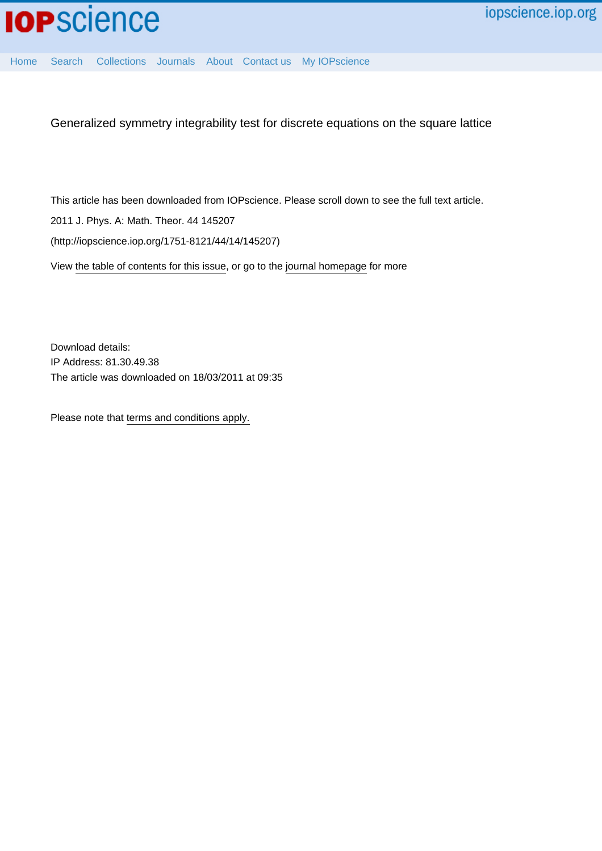

[Home](http://iopscience.iop.org/) [Search](http://iopscience.iop.org/search) [Collections](http://iopscience.iop.org/collections) [Journals](http://iopscience.iop.org/journals) [About](http://iopscience.iop.org/page/aboutioppublishing) [Contact us](http://iopscience.iop.org/contact) [My IOPscience](http://iopscience.iop.org/myiopscience)

Generalized symmetry integrability test for discrete equations on the square lattice

This article has been downloaded from IOPscience. Please scroll down to see the full text article.

2011 J. Phys. A: Math. Theor. 44 145207

(http://iopscience.iop.org/1751-8121/44/14/145207)

View [the table of contents for this issue](http://iopscience.iop.org/1751-8121/44/14), or go to the [journal homepage](http://iopscience.iop.org/1751-8121) for more

Download details: IP Address: 81.30.49.38 The article was downloaded on 18/03/2011 at 09:35

Please note that [terms and conditions apply.](http://iopscience.iop.org/page/terms)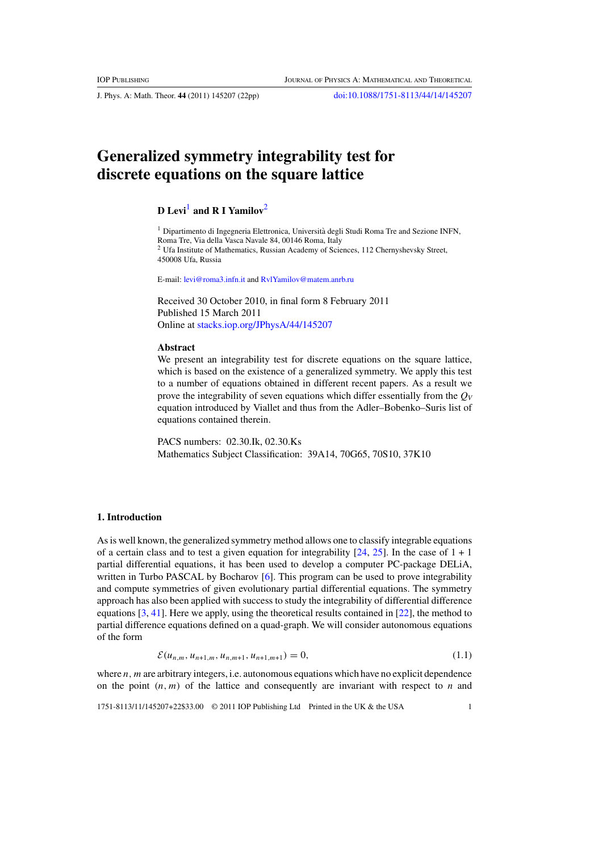<span id="page-1-0"></span>J. Phys. A: Math. Theor. **44** (2011) 145207 (22pp) [doi:10.1088/1751-8113/44/14/145207](http://dx.doi.org/10.1088/1751-8113/44/14/145207)

# **Generalized symmetry integrability test for discrete equations on the square lattice**

## **D Levi**<sup>1</sup> **and R I Yamilov**<sup>2</sup>

 $^1$  Dipartimento di Ingegneria Elettronica, Università degli Studi Roma Tre and Sezione INFN, Roma Tre, Via della Vasca Navale 84, 00146 Roma, Italy <sup>2</sup> Ufa Institute of Mathematics, Russian Academy of Sciences, 112 Chernyshevsky Street, 450008 Ufa, Russia

E-mail: [levi@roma3.infn.it](mailto:levi@roma3.infn.it) and RylYamilov@matem.anrh.ru

Received 30 October 2010, in final form 8 February 2011 Published 15 March 2011 Online at [stacks.iop.org/JPhysA/44/145207](http://stacks.iop.org/JPhysA/44/145207)

#### **Abstract**

We present an integrability test for discrete equations on the square lattice, which is based on the existence of a generalized symmetry. We apply this test to a number of equations obtained in different recent papers. As a result we prove the integrability of seven equations which differ essentially from the  $Q_V$ equation introduced by Viallet and thus from the Adler–Bobenko–Suris list of equations contained therein.

PACS numbers: 02.30.Ik, 02.30.Ks Mathematics Subject Classification: 39A14, 70G65, 70S10, 37K10

### **1. Introduction**

As is well known, the generalized symmetry method allows one to classify integrable equations of a certain class and to test a given equation for integrability  $[24, 25]$  $[24, 25]$  $[24, 25]$  $[24, 25]$ . In the case of  $1 + 1$ partial differential equations, it has been used to develop a computer PC-package DELiA, written in Turbo PASCAL by Bocharov [\[6\]](#page-20-0). This program can be used to prove integrability and compute symmetries of given evolutionary partial differential equations. The symmetry approach has also been applied with success to study the integrability of differential difference equations [\[3,](#page-20-0) [41](#page-22-0)]. Here we apply, using the theoretical results contained in [\[22](#page-21-0)], the method to partial difference equations defined on a quad-graph. We will consider autonomous equations of the form

$$
\mathcal{E}(u_{n,m}, u_{n+1,m}, u_{n,m+1}, u_{n+1,m+1}) = 0, \tag{1.1}
$$

where *n*, *m* are arbitrary integers, i.e. autonomous equations which have no explicit dependence on the point  $(n, m)$  of the lattice and consequently are invariant with respect to *n* and

1751-8113/11/145207+22\$33.00 © 2011 IOP Publishing Ltd Printed in the UK & the USA 1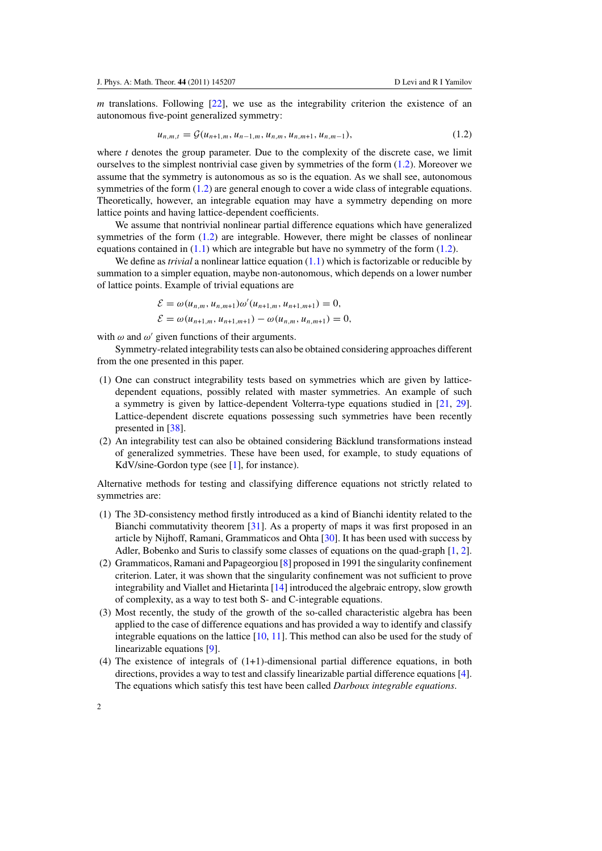<span id="page-2-0"></span>*m* translations. Following [\[22](#page-21-0)], we use as the integrability criterion the existence of an autonomous five-point generalized symmetry:

$$
u_{n,m,t} = \mathcal{G}(u_{n+1,m}, u_{n-1,m}, u_{n,m}, u_{n,m+1}, u_{n,m-1}),
$$
\n(1.2)

where  $t$  denotes the group parameter. Due to the complexity of the discrete case, we limit ourselves to the simplest nontrivial case given by symmetries of the form  $(1,2)$ . Moreover we assume that the symmetry is autonomous as so is the equation. As we shall see, autonomous symmetries of the form  $(1.2)$  are general enough to cover a wide class of integrable equations. Theoretically, however, an integrable equation may have a symmetry depending on more lattice points and having lattice-dependent coefficients.

We assume that nontrivial nonlinear partial difference equations which have generalized symmetries of the form  $(1.2)$  are integrable. However, there might be classes of nonlinear equations contained in  $(1.1)$  which are integrable but have no symmetry of the form  $(1.2)$ .

We define as *trivial* a nonlinear lattice equation [\(1.1\)](#page-1-0) which is factorizable or reducible by summation to a simpler equation, maybe non-autonomous, which depends on a lower number of lattice points. Example of trivial equations are

$$
\mathcal{E} = \omega(u_{n,m}, u_{n,m+1})\omega'(u_{n+1,m}, u_{n+1,m+1}) = 0,
$$
  

$$
\mathcal{E} = \omega(u_{n+1,m}, u_{n+1,m+1}) - \omega(u_{n,m}, u_{n,m+1}) = 0,
$$

with  $\omega$  and  $\omega'$  given functions of their arguments.

Symmetry-related integrability tests can also be obtained considering approaches different from the one presented in this paper.

- (1) One can construct integrability tests based on symmetries which are given by latticedependent equations, possibly related with master symmetries. An example of such a symmetry is given by lattice-dependent Volterra-type equations studied in [\[21](#page-21-0), [29\]](#page-21-0). Lattice-dependent discrete equations possessing such symmetries have been recently presented in [\[38](#page-22-0)].
- (2) An integrability test can also be obtained considering Backlund transformations instead ¨ of generalized symmetries. These have been used, for example, to study equations of KdV/sine-Gordon type (see [\[1\]](#page-20-0), for instance).

Alternative methods for testing and classifying difference equations not strictly related to symmetries are:

- (1) The 3D-consistency method firstly introduced as a kind of Bianchi identity related to the Bianchi commutativity theorem [\[31\]](#page-21-0). As a property of maps it was first proposed in an article by Nijhoff, Ramani, Grammaticos and Ohta [\[30\]](#page-21-0). It has been used with success by Adler, Bobenko and Suris to classify some classes of equations on the quad-graph [\[1,](#page-20-0) [2\]](#page-20-0).
- (2) Grammaticos, Ramani and Papageorgiou [\[8\]](#page-21-0) proposed in 1991 the singularity confinement criterion. Later, it was shown that the singularity confinement was not sufficient to prove integrability and Viallet and Hietarinta [\[14](#page-21-0)] introduced the algebraic entropy, slow growth of complexity, as a way to test both S- and C-integrable equations.
- (3) Most recently, the study of the growth of the so-called characteristic algebra has been applied to the case of difference equations and has provided a way to identify and classify integrable equations on the lattice  $[10, 11]$  $[10, 11]$  $[10, 11]$  $[10, 11]$ . This method can also be used for the study of linearizable equations [\[9\]](#page-21-0).
- (4) The existence of integrals of (1+1)-dimensional partial difference equations, in both directions, provides a way to test and classify linearizable partial difference equations [\[4\]](#page-20-0). The equations which satisfy this test have been called *Darboux integrable equations*.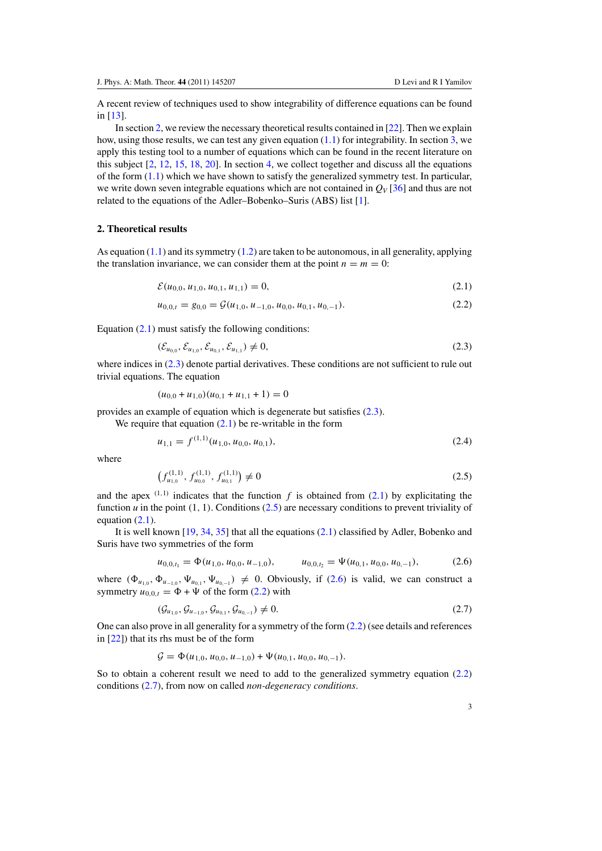<span id="page-3-0"></span>A recent review of techniques used to show integrability of difference equations can be found in [\[13](#page-21-0)].

In section 2, we review the necessary theoretical results contained in [\[22](#page-21-0)]. Then we explain how, using those results, we can test any given equation [\(1.1\)](#page-1-0) for integrability. In section [3,](#page-8-0) we apply this testing tool to a number of equations which can be found in the recent literature on this subject [\[2](#page-20-0), [12](#page-21-0), [15,](#page-21-0) [18,](#page-21-0) [20\]](#page-21-0). In section [4,](#page-15-0) we collect together and discuss all the equations of the form  $(1.1)$  which we have shown to satisfy the generalized symmetry test. In particular, we write down seven integrable equations which are not contained in *QV* [\[36](#page-21-0)] and thus are not related to the equations of the Adler–Bobenko–Suris (ABS) list [\[1](#page-20-0)].

#### **2. Theoretical results**

As equation  $(1.1)$  and its symmetry  $(1.2)$  are taken to be autonomous, in all generality, applying the translation invariance, we can consider them at the point  $n = m = 0$ :

$$
\mathcal{E}(u_{0,0}, u_{1,0}, u_{0,1}, u_{1,1}) = 0, \tag{2.1}
$$

$$
u_{0,0,t} = g_{0,0} = \mathcal{G}(u_{1,0}, u_{-1,0}, u_{0,0}, u_{0,1}, u_{0,-1}).
$$
\n(2.2)

Equation  $(2.1)$  must satisfy the following conditions:

$$
(\mathcal{E}_{u_{0,0}}, \mathcal{E}_{u_{1,0}}, \mathcal{E}_{u_{0,1}}, \mathcal{E}_{u_{1,1}}) \neq 0, \tag{2.3}
$$

where indices in  $(2.3)$  denote partial derivatives. These conditions are not sufficient to rule out trivial equations. The equation

$$
(u_{0,0} + u_{1,0})(u_{0,1} + u_{1,1} + 1) = 0
$$

provides an example of equation which is degenerate but satisfies (2.3).

We require that equation  $(2.1)$  be re-writable in the form

$$
u_{1,1} = f^{(1,1)}(u_{1,0}, u_{0,0}, u_{0,1}), \tag{2.4}
$$

where

$$
\left(f_{u_{1,0}}^{(1,1)}, f_{u_{0,0}}^{(1,1)}, f_{u_{0,1}}^{(1,1)}\right) \neq 0 \tag{2.5}
$$

and the apex  $(1,1)$  indicates that the function f is obtained from  $(2.1)$  by explicitating the function  $u$  in the point  $(1, 1)$ . Conditions  $(2.5)$  are necessary conditions to prevent triviality of equation  $(2.1)$ .

It is well known [\[19](#page-21-0), [34](#page-21-0), [35](#page-21-0)] that all the equations (2.1) classified by Adler, Bobenko and Suris have two symmetries of the form

$$
u_{0,0,t_1} = \Phi(u_{1,0}, u_{0,0}, u_{-1,0}), \qquad u_{0,0,t_2} = \Psi(u_{0,1}, u_{0,0}, u_{0,-1}), \qquad (2.6)
$$

where  $(\Phi_{u_{1,0}}, \Phi_{u_{-1,0}}, \Psi_{u_{0,1}}, \Psi_{u_{0,-1}}) \neq 0$ . Obviously, if (2.6) is valid, we can construct a symmetry  $u_{0,0,t} = \Phi + \Psi$  of the form (2.2) with

$$
(\mathcal{G}_{u_{1,0}}, \mathcal{G}_{u_{-1,0}}, \mathcal{G}_{u_{0,1}}, \mathcal{G}_{u_{0,-1}}) \neq 0. \tag{2.7}
$$

One can also prove in all generality for a symmetry of the form (2.2) (see details and references in [\[22](#page-21-0)]) that its rhs must be of the form

$$
\mathcal{G} = \Phi(u_{1,0}, u_{0,0}, u_{-1,0}) + \Psi(u_{0,1}, u_{0,0}, u_{0,-1}).
$$

So to obtain a coherent result we need to add to the generalized symmetry equation (2.2) conditions (2.7), from now on called *non-degeneracy conditions*.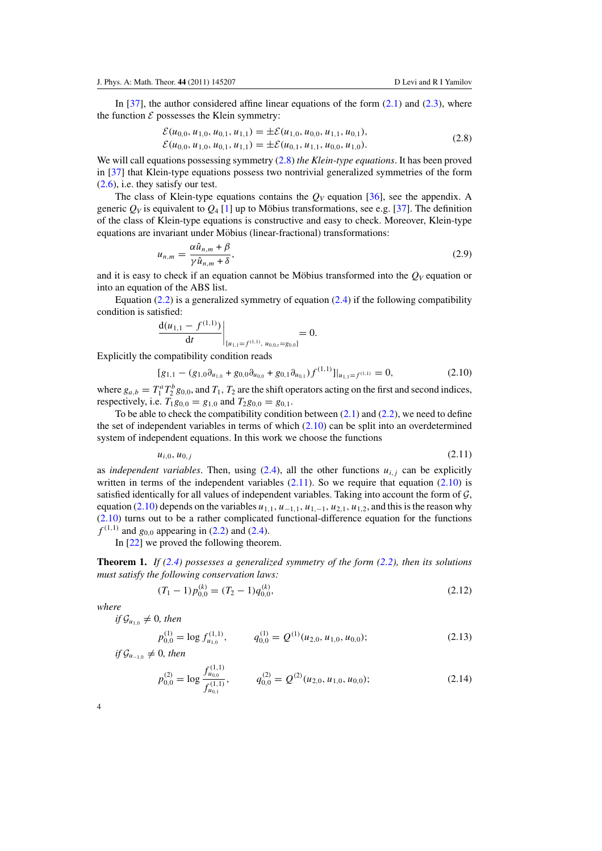<span id="page-4-0"></span>In  $[37]$  $[37]$ , the author considered affine linear equations of the form  $(2.1)$  and  $(2.3)$ , where the function  $\mathcal E$  possesses the Klein symmetry:

$$
\mathcal{E}(u_{0,0}, u_{1,0}, u_{0,1}, u_{1,1}) = \pm \mathcal{E}(u_{1,0}, u_{0,0}, u_{1,1}, u_{0,1}), \n\mathcal{E}(u_{0,0}, u_{1,0}, u_{0,1}, u_{1,1}) = \pm \mathcal{E}(u_{0,1}, u_{1,1}, u_{0,0}, u_{1,0}).
$$
\n(2.8)

We will call equations possessing symmetry (2.8) *the Klein-type equations*. It has been proved in [\[37\]](#page-22-0) that Klein-type equations possess two nontrivial generalized symmetries of the form [\(2.6\)](#page-3-0), i.e. they satisfy our test.

The class of Klein-type equations contains the  $Q_V$  equation [\[36](#page-21-0)], see the appendix. A generic  $Q_V$  is equivalent to  $Q_4$  [\[1\]](#page-20-0) up to Möbius transformations, see e.g. [[37\]](#page-22-0). The definition of the class of Klein-type equations is constructive and easy to check. Moreover, Klein-type equations are invariant under Möbius (linear-fractional) transformations:

$$
u_{n,m} = \frac{\alpha \hat{u}_{n,m} + \beta}{\gamma \hat{u}_{n,m} + \delta},\tag{2.9}
$$

and it is easy to check if an equation cannot be Möbius transformed into the  $Q_V$  equation or into an equation of the ABS list.

Equation  $(2.2)$  is a generalized symmetry of equation  $(2.4)$  if the following compatibility condition is satisfied:

$$
\left. \frac{\mathrm{d}(u_{1,1} - f^{(1,1)})}{\mathrm{d}t} \right|_{[u_{1,1} = f^{(1,1)}, u_{0,0,t} = g_{0,0}]} = 0.
$$

Explicitly the compatibility condition reads

$$
[g_{1,1} - (g_{1,0}\partial_{u_{1,0}} + g_{0,0}\partial_{u_{0,0}} + g_{0,1}\partial_{u_{0,1}})f^{(1,1)}]|_{u_{1,1} = f^{(1,1)}} = 0,
$$
\n(2.10)

where  $g_{a,b} = T_1^a T_2^b g_{0,0}$ , and  $T_1, T_2$  are the shift operators acting on the first and second indices, respectively, i.e.  $T_1g_{0,0} = g_{1,0}$  and  $T_2g_{0,0} = g_{0,1}$ .

To be able to check the compatibility condition between  $(2.1)$  and  $(2.2)$ , we need to define the set of independent variables in terms of which  $(2.10)$  can be split into an overdetermined system of independent equations. In this work we choose the functions

$$
u_{i,0}, u_{0,j} \tag{2.11}
$$

as *independent variables*. Then, using  $(2.4)$ , all the other functions  $u_{i,j}$  can be explicitly written in terms of the independent variables  $(2.11)$ . So we require that equation  $(2.10)$  is satisfied identically for all values of independent variables. Taking into account the form of  $G$ , equation (2.10) depends on the variables  $u_{1,1}, u_{-1,1}, u_{1,-1}, u_{2,1}, u_{1,2}$ , and this is the reason why (2.10) turns out to be a rather complicated functional-difference equation for the functions  $f^{(1,1)}$  and  $g_{0,0}$  appearing in [\(2.2\)](#page-3-0) and [\(2.4\)](#page-3-0).

In [\[22\]](#page-21-0) we proved the following theorem.

**Theorem 1.** *If [\(2.4\)](#page-3-0) possesses a generalized symmetry of the form [\(2.2\)](#page-3-0), then its solutions must satisfy the following conservation laws:*

$$
(T_1 - 1)p_{0,0}^{(k)} = (T_2 - 1)q_{0,0}^{(k)},
$$
\n(2.12)

*where*

$$
p_{0,0}^{(1)} = \log f_{u_{1,0}}^{(1,1)}, \qquad q_{0,0}^{(1)} = Q^{(1)}(u_{2,0}, u_{1,0}, u_{0,0}); \tag{2.13}
$$

$$
if \mathcal{G}_{u_{-1,0}} \neq 0,
$$

 $if \mathcal{G}_{u_{1,0}} \neq 0$ , then

$$
p_{0,0}^{(2)} = \log \frac{f_{u_{0,0}}^{(1,1)}}{f_{u_{0,1}}^{(1,1)}}, \qquad q_{0,0}^{(2)} = Q^{(2)}(u_{2,0}, u_{1,0}, u_{0,0}); \qquad (2.14)
$$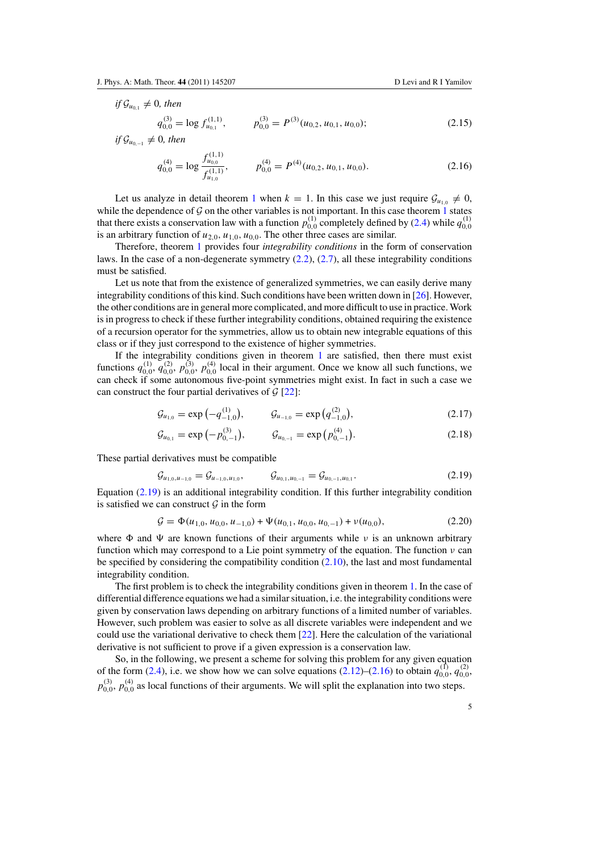<span id="page-5-0"></span>if 
$$
\mathcal{G}_{u_{0,1}} \neq 0
$$
, then  
\n $q_{0,0}^{(3)} = \log f_{u_{0,1}}^{(1,1)}$ ,  $p_{0,0}^{(3)} = P^{(3)}(u_{0,2}, u_{0,1}, u_{0,0})$ ; (2.15)

if 
$$
\mathcal{G}_{u_{0,-1}} \neq 0
$$
, then  
\n
$$
q_{0,0}^{(4)} = \log \frac{f_{u_{0,0}}^{(1,1)}}{f_{u_{1,0}}^{(1,1)}}, \qquad p_{0,0}^{(4)} = P^{(4)}(u_{0,2}, u_{0,1}, u_{0,0}). \qquad (2.16)
$$

Let us analyze in detail theorem [1](#page-4-0) when  $k = 1$ . In this case we just require  $\mathcal{G}_{u_{1,0}} \neq 0$ , while the dependence of  $G$  on the other variables is not important. In this case theorem [1](#page-4-0) states that there exists a conservation law with a function  $p_{0,0}^{(1)}$  completely defined by [\(2.4\)](#page-3-0) while  $q_{0,0}^{(1)}$ is an arbitrary function of  $u_{2,0}, u_{1,0}, u_{0,0}$ . The other three cases are similar.

Therefore, theorem [1](#page-4-0) provides four *integrability conditions* in the form of conservation laws. In the case of a non-degenerate symmetry [\(2.2\)](#page-3-0), [\(2.7\)](#page-3-0), all these integrability conditions must be satisfied.

Let us note that from the existence of generalized symmetries, we can easily derive many integrability conditions of this kind. Such conditions have been written down in [\[26\]](#page-21-0). However, the other conditions are in general more complicated, and more difficult to use in practice. Work is in progress to check if these further integrability conditions, obtained requiring the existence of a recursion operator for the symmetries, allow us to obtain new integrable equations of this class or if they just correspond to the existence of higher symmetries.

If the integrability conditions given in theorem [1](#page-4-0) are satisfied, then there must exist functions  $q_{0,0}^{(1)}$ ,  $q_{0,0}^{(2)}$ ,  $p_{0,0}^{(3)}$ ,  $p_{0,0}^{(4)}$  local in their argument. Once we know all such functions, we can check if some autonomous five-point symmetries might exist. In fact in such a case we can construct the four partial derivatives of  $G$  [\[22](#page-21-0)]:

$$
\mathcal{G}_{u_{1,0}} = \exp\left(-q_{-1,0}^{(1)}\right), \qquad \mathcal{G}_{u_{-1,0}} = \exp\left(q_{-1,0}^{(2)}\right), \tag{2.17}
$$

$$
\mathcal{G}_{u_{0,1}} = \exp\left(-p_{0,-1}^{(3)}\right), \qquad \mathcal{G}_{u_{0,-1}} = \exp\left(p_{0,-1}^{(4)}\right). \tag{2.18}
$$

These partial derivatives must be compatible

$$
\mathcal{G}_{u_{1,0},u_{-1,0}} = \mathcal{G}_{u_{-1,0},u_{1,0}}, \qquad \mathcal{G}_{u_{0,1},u_{0,-1}} = \mathcal{G}_{u_{0,-1},u_{0,1}}.
$$
\n(2.19)

Equation (2.19) is an additional integrability condition. If this further integrability condition is satisfied we can construct  $\mathcal G$  in the form

$$
\mathcal{G} = \Phi(u_{1,0}, u_{0,0}, u_{-1,0}) + \Psi(u_{0,1}, u_{0,0}, u_{0,-1}) + \nu(u_{0,0}),
$$
\n(2.20)

where  $\Phi$  and  $\Psi$  are known functions of their arguments while *ν* is an unknown arbitrary function which may correspond to a Lie point symmetry of the equation. The function *ν* can be specified by considering the compatibility condition  $(2.10)$ , the last and most fundamental integrability condition.

The first problem is to check the integrability conditions given in theorem [1.](#page-4-0) In the case of differential difference equations we had a similar situation, i.e. the integrability conditions were given by conservation laws depending on arbitrary functions of a limited number of variables. However, such problem was easier to solve as all discrete variables were independent and we could use the variational derivative to check them [\[22](#page-21-0)]. Here the calculation of the variational derivative is not sufficient to prove if a given expression is a conservation law.

So, in the following, we present a scheme for solving this problem for any given equation of the form [\(2.4\)](#page-3-0), i.e. we show how we can solve equations [\(2.12\)](#page-4-0)–(2.16) to obtain  $q_{0,0}^{(1)}$ ,  $q_{0,0}^{(2)}$ ,  $p_{0,0}^{(3)}$ ,  $p_{0,0}^{(4)}$  as local functions of their arguments. We will split the explanation into two steps.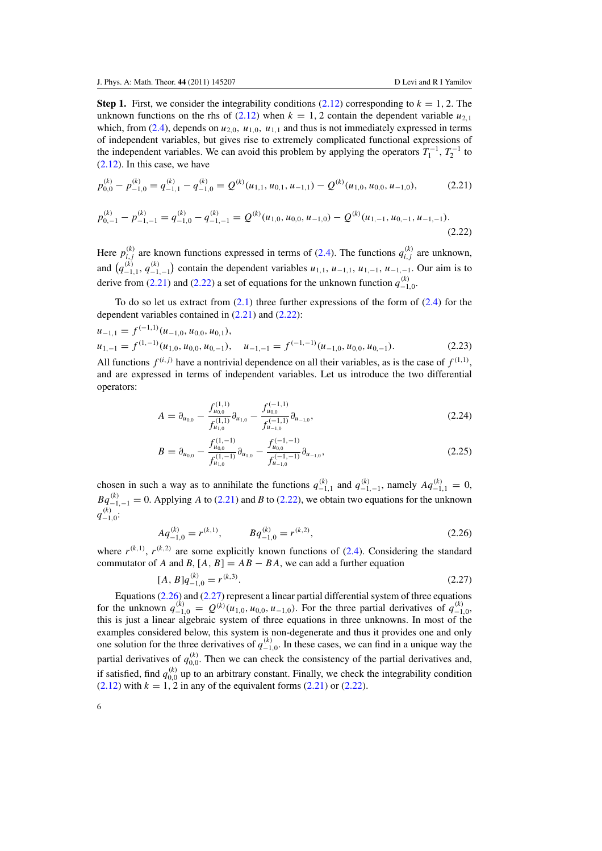<span id="page-6-0"></span>**Step 1.** First, we consider the integrability conditions  $(2.12)$  corresponding to  $k = 1, 2$ . The unknown functions on the rhs of [\(2.12\)](#page-4-0) when  $k = 1, 2$  contain the dependent variable  $u_{2,1}$ which, from [\(2.4\)](#page-3-0), depends on  $u_{2,0}$ ,  $u_{1,0}$ ,  $u_{1,1}$  and thus is not immediately expressed in terms of independent variables, but gives rise to extremely complicated functional expressions of the independent variables. We can avoid this problem by applying the operators  $T_1^{-1}$ ,  $T_2^{-1}$  to [\(2.12\)](#page-4-0). In this case, we have

$$
p_{0,0}^{(k)} - p_{-1,0}^{(k)} = q_{-1,1}^{(k)} - q_{-1,0}^{(k)} = Q^{(k)}(u_{1,1}, u_{0,1}, u_{-1,1}) - Q^{(k)}(u_{1,0}, u_{0,0}, u_{-1,0}),
$$
(2.21)

$$
p_{0,-1}^{(k)} - p_{-1,-1}^{(k)} = q_{-1,0}^{(k)} - q_{-1,-1}^{(k)} = Q^{(k)}(u_{1,0}, u_{0,0}, u_{-1,0}) - Q^{(k)}(u_{1,-1}, u_{0,-1}, u_{-1,-1}).
$$
\n(2.22)

Here  $p_{i,j}^{(k)}$  are known functions expressed in terms of [\(2.4\)](#page-3-0). The functions  $q_{i,j}^{(k)}$  are unknown, and  $(q_{-1,1}^{(k)}, q_{-1,-1}^{(k)})$  contain the dependent variables  $u_{1,1}, u_{-1,1}, u_{1,-1}, u_{-1,-1}$ . Our aim is to derive from (2.21) and (2.22) a set of equations for the unknown function  $q_{-1,0}^{(k)}$ .

To do so let us extract from  $(2.1)$  three further expressions of the form of  $(2.4)$  for the dependent variables contained in (2.21) and (2.22):

$$
u_{-1,1} = f^{(-1,1)}(u_{-1,0}, u_{0,0}, u_{0,1}),
$$
  
\n
$$
u_{1,-1} = f^{(1,-1)}(u_{1,0}, u_{0,0}, u_{0,-1}), \quad u_{-1,-1} = f^{(-1,-1)}(u_{-1,0}, u_{0,0}, u_{0,-1}).
$$
\n(2.23)

All functions  $f^{(i,j)}$  have a nontrivial dependence on all their variables, as is the case of  $f^{(1,1)}$ , and are expressed in terms of independent variables. Let us introduce the two differential operators:

$$
A = \partial_{u_{0,0}} - \frac{f_{u_{0,0}}^{(1,1)}}{f_{u_{1,0}}^{(1,1)}} \partial_{u_{1,0}} - \frac{f_{u_{0,0}}^{(-1,1)}}{f_{u_{-1,0}}^{(-1,1)}} \partial_{u_{-1,0}},
$$
\n(2.24)

$$
B = \partial_{u_{0,0}} - \frac{f_{u_{0,0}}^{(1,-1)}}{f_{u_{1,0}}^{(1,-1)}} \partial_{u_{1,0}} - \frac{f_{u_{0,0}}^{(-1,-1)}}{f_{u_{-1,0}}^{(-1,-1)}} \partial_{u_{-1,0}},
$$
\n(2.25)

chosen in such a way as to annihilate the functions  $q_{-1,1}^{(k)}$  and  $q_{-1,-1}^{(k)}$ , namely  $Aq_{-1,1}^{(k)} = 0$ ,  $Bq_{-1,-1}^{(k)} = 0$ . Applying *A* to (2.21) and *B* to (2.22), we obtain two equations for the unknown *q(k)* <sup>−</sup>1*,*0:

$$
Aq_{-1,0}^{(k)} = r^{(k,1)}, \qquad Bq_{-1,0}^{(k)} = r^{(k,2)}, \tag{2.26}
$$

where  $r^{(k,1)}$ ,  $r^{(k,2)}$  are some explicitly known functions of [\(2.4\)](#page-3-0). Considering the standard commutator of *A* and *B*,  $[A, B] = AB - BA$ , we can add a further equation

$$
[A, B]q_{-1,0}^{(k)} = r^{(k,3)}.
$$
\n<sup>(2.27)</sup>

Equations  $(2.26)$  and  $(2.27)$  represent a linear partial differential system of three equations for the unknown  $q_{-1,0}^{(k)} = Q^{(k)}(u_{1,0}, u_{0,0}, u_{-1,0})$ . For the three partial derivatives of  $q_{-1,0}^{(k)}$ , this is just a linear algebraic system of three equations in three unknowns. In most of the examples considered below, this system is non-degenerate and thus it provides one and only one solution for the three derivatives of  $q_{-1,0}^{(k)}$ . In these cases, we can find in a unique way the partial derivatives of  $q_{0,0}^{(k)}$ . Then we can check the consistency of the partial derivatives and, if satisfied, find  $q_{0,0}^{(k)}$  up to an arbitrary constant. Finally, we check the integrability condition  $(2.12)$  with  $k = 1, 2$  in any of the equivalent forms  $(2.21)$  or  $(2.22)$ .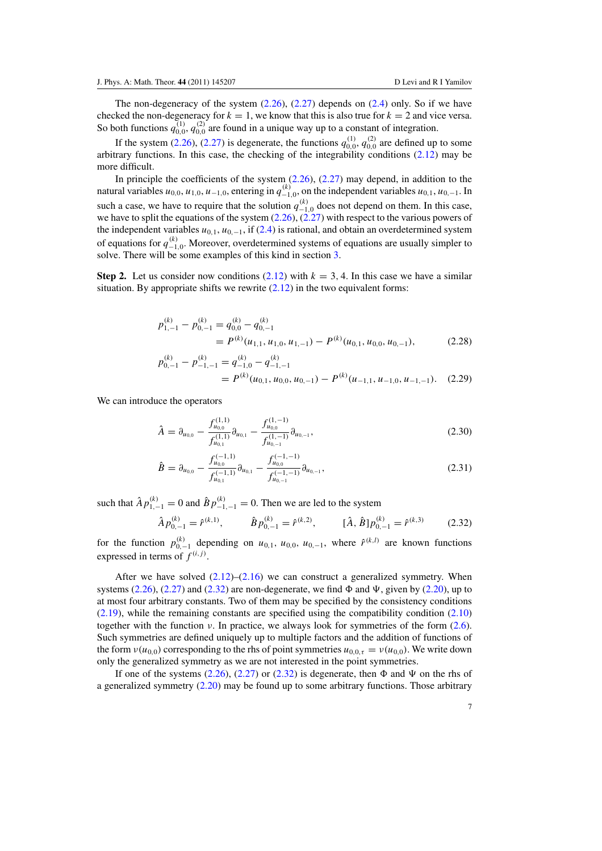<span id="page-7-0"></span>The non-degeneracy of the system  $(2.26)$ ,  $(2.27)$  depends on  $(2.4)$  only. So if we have checked the non-degeneracy for  $k = 1$ , we know that this is also true for  $k = 2$  and vice versa. So both functions  $q_{0,0}^{(1)}, q_{0,0}^{(2)}$  are found in a unique way up to a constant of integration.

If the system [\(2.26\)](#page-6-0), [\(2.27\)](#page-6-0) is degenerate, the functions  $q_{0,0}^{(1)}, q_{0,0}^{(2)}$  are defined up to some arbitrary functions. In this case, the checking of the integrability conditions  $(2.12)$  may be more difficult.

In principle the coefficients of the system  $(2.26)$ ,  $(2.27)$  may depend, in addition to the natural variables  $u_{0,0}$ ,  $u_{1,0}$ ,  $u_{-1,0}$ , entering in  $q_{-1,0}^{(k)}$ , on the independent variables  $u_{0,1}$ ,  $u_{0,-1}$ . In such a case, we have to require that the solution  $q_{-1,0}^{(k)}$  does not depend on them. In this case, we have to split the equations of the system [\(2.26\)](#page-6-0), [\(2.27\)](#page-6-0) with respect to the various powers of the independent variables  $u_{0,1}$ ,  $u_{0,-1}$ , if [\(2.4\)](#page-3-0) is rational, and obtain an overdetermined system of equations for  $q_{-1,0}^{(k)}$ . Moreover, overdetermined systems of equations are usually simpler to solve. There will be some examples of this kind in section [3.](#page-8-0)

**Step 2.** Let us consider now conditions [\(2.12\)](#page-4-0) with  $k = 3, 4$ . In this case we have a similar situation. By appropriate shifts we rewrite  $(2.12)$  in the two equivalent forms:

$$
p_{1,-1}^{(k)} - p_{0,-1}^{(k)} = q_{0,0}^{(k)} - q_{0,-1}^{(k)}
$$
  
=  $P^{(k)}(u_{1,1}, u_{1,0}, u_{1,-1}) - P^{(k)}(u_{0,1}, u_{0,0}, u_{0,-1}),$  (2.28)

$$
p_{0,-1}^{(k)} - p_{-1,-1}^{(k)} = q_{-1,0}^{(k)} - q_{-1,-1}^{(k)}
$$
  
= 
$$
P^{(k)}(u_{0,1}, u_{0,0}, u_{0,-1}) - P^{(k)}(u_{-1,1}, u_{-1,0}, u_{-1,-1}).
$$
 (2.29)

We can introduce the operators

$$
\hat{A} = \partial_{u_{0,0}} - \frac{f_{u_{0,0}}^{(1,1)}}{f_{u_{0,1}}^{(1,1)}} \partial_{u_{0,1}} - \frac{f_{u_{0,0}}^{(1,-1)}}{f_{u_{0,-1}}^{(1,-1)}} \partial_{u_{0,-1}},
$$
\n(2.30)

$$
\hat{B} = \partial_{u_{0,0}} - \frac{f_{u_{0,0}}^{(-1,1)}}{f_{u_{0,1}}^{(-1,1)}} \partial_{u_{0,1}} - \frac{f_{u_{0,0}}^{(-1,-1)}}{f_{u_{0,-1}}^{(-1,-1)}} \partial_{u_{0,-1}},
$$
\n(2.31)

such that  $\hat{A}p_{1,-1}^{(k)} = 0$  and  $\hat{B}p_{-1,-1}^{(k)} = 0$ . Then we are led to the system

$$
\hat{A}p_{0,-1}^{(k)} = \hat{r}^{(k,1)}, \qquad \hat{B}p_{0,-1}^{(k)} = \hat{r}^{(k,2)}, \qquad [\hat{A}, \hat{B}]p_{0,-1}^{(k)} = \hat{r}^{(k,3)} \qquad (2.32)
$$

for the function  $p_{0,-1}^{(k)}$  depending on  $u_{0,1}$ ,  $u_{0,0}$ ,  $u_{0,-1}$ , where  $\hat{r}^{(k,l)}$  are known functions expressed in terms of  $f^{(i,j)}$ .

After we have solved  $(2.12)$ – $(2.16)$  we can construct a generalized symmetry. When systems [\(2.26\)](#page-6-0), [\(2.27\)](#page-6-0) and (2.32) are non-degenerate, we find  $\Phi$  and  $\Psi$ , given by [\(2.20\)](#page-5-0), up to at most four arbitrary constants. Two of them may be specified by the consistency conditions [\(2.19\)](#page-5-0), while the remaining constants are specified using the compatibility condition [\(2.10\)](#page-4-0) together with the function *ν*. In practice, we always look for symmetries of the form  $(2.6)$ . Such symmetries are defined uniquely up to multiple factors and the addition of functions of the form  $v(u_{0,0})$  corresponding to the rhs of point symmetries  $u_{0,0,7} = v(u_{0,0})$ . We write down only the generalized symmetry as we are not interested in the point symmetries.

If one of the systems [\(2.26\)](#page-6-0), [\(2.27\)](#page-6-0) or (2.32) is degenerate, then  $\Phi$  and  $\Psi$  on the rhs of a generalized symmetry [\(2.20\)](#page-5-0) may be found up to some arbitrary functions. Those arbitrary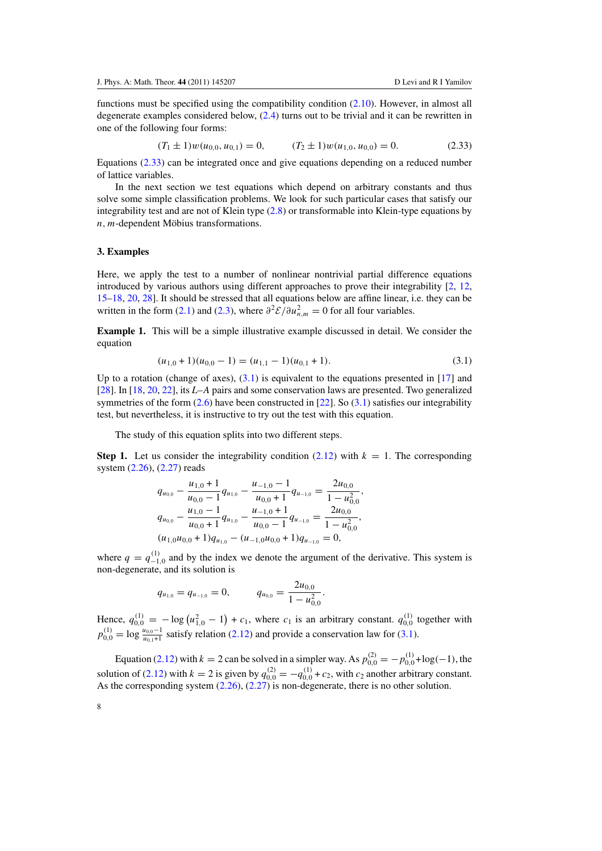<span id="page-8-0"></span>functions must be specified using the compatibility condition  $(2.10)$ . However, in almost all degenerate examples considered below, [\(2.4\)](#page-3-0) turns out to be trivial and it can be rewritten in one of the following four forms:

$$
(T_1 \pm 1)w(u_{0,0}, u_{0,1}) = 0, \qquad (T_2 \pm 1)w(u_{1,0}, u_{0,0}) = 0. \tag{2.33}
$$

Equations (2.33) can be integrated once and give equations depending on a reduced number of lattice variables.

In the next section we test equations which depend on arbitrary constants and thus solve some simple classification problems. We look for such particular cases that satisfy our integrability test and are not of Klein type [\(2.8\)](#page-4-0) or transformable into Klein-type equations by  $n, m$ -dependent Möbius transformations.

#### **3. Examples**

Here, we apply the test to a number of nonlinear nontrivial partial difference equations introduced by various authors using different approaches to prove their integrability [\[2](#page-20-0), [12](#page-21-0), [15–18,](#page-21-0) [20,](#page-21-0) [28\]](#page-21-0). It should be stressed that all equations below are affine linear, i.e. they can be written in the form [\(2.1\)](#page-3-0) and [\(2.3\)](#page-3-0), where  $\partial^2 \mathcal{E}/\partial u_{n,m}^2 = 0$  for all four variables.

**Example 1.** This will be a simple illustrative example discussed in detail. We consider the equation

$$
(u_{1,0} + 1)(u_{0,0} - 1) = (u_{1,1} - 1)(u_{0,1} + 1).
$$
\n(3.1)

Up to a rotation (change of axes),  $(3.1)$  is equivalent to the equations presented in [\[17\]](#page-21-0) and [\[28](#page-21-0)]. In [\[18,](#page-21-0) [20,](#page-21-0) [22](#page-21-0)], its *L*–*A* pairs and some conservation laws are presented. Two generalized symmetries of the form  $(2.6)$  have been constructed in [\[22](#page-21-0)]. So  $(3.1)$  satisfies our integrability test, but nevertheless, it is instructive to try out the test with this equation.

The study of this equation splits into two different steps.

**Step 1.** Let us consider the integrability condition  $(2.12)$  with  $k = 1$ . The corresponding system [\(2.26\)](#page-6-0), [\(2.27\)](#page-6-0) reads

$$
q_{u_{0,0}} - \frac{u_{1,0} + 1}{u_{0,0} - 1} q_{u_{1,0}} - \frac{u_{-1,0} - 1}{u_{0,0} + 1} q_{u_{-1,0}} = \frac{2u_{0,0}}{1 - u_{0,0}^2},
$$
  
\n
$$
q_{u_{0,0}} - \frac{u_{1,0} - 1}{u_{0,0} + 1} q_{u_{1,0}} - \frac{u_{-1,0} + 1}{u_{0,0} - 1} q_{u_{-1,0}} = \frac{2u_{0,0}}{1 - u_{0,0}^2},
$$
  
\n
$$
(u_{1,0}u_{0,0} + 1) q_{u_{1,0}} - (u_{-1,0}u_{0,0} + 1) q_{u_{-1,0}} = 0,
$$

where  $q = q_{-1,0}^{(1)}$  and by the index we denote the argument of the derivative. This system is non-degenerate, and its solution is

$$
q_{u_{1,0}} = q_{u_{-1,0}} = 0, \qquad q_{u_{0,0}} = \frac{2u_{0,0}}{1 - u_{0,0}^2}.
$$

Hence,  $q_{0,0}^{(1)} = -\log (u_{1,0}^2 - 1) + c_1$ , where  $c_1$  is an arbitrary constant.  $q_{0,0}^{(1)}$  together with  $p_{0,0}^{(1)} = \log \frac{u_{0,0}-1}{u_{0,1}+1}$  satisfy relation [\(2.12\)](#page-4-0) and provide a conservation law for (3.1).

Equation [\(2.12\)](#page-4-0) with  $k = 2$  can be solved in a simpler way. As  $p_{0,0}^{(2)} = -p_{0,0}^{(1)} + \log(-1)$ , the solution of [\(2.12\)](#page-4-0) with  $k = 2$  is given by  $q_{0,0}^{(2)} = -q_{0,0}^{(1)} + c_2$ , with  $c_2$  another arbitrary constant. As the corresponding system  $(2.26)$ ,  $(2.27)$  is non-degenerate, there is no other solution.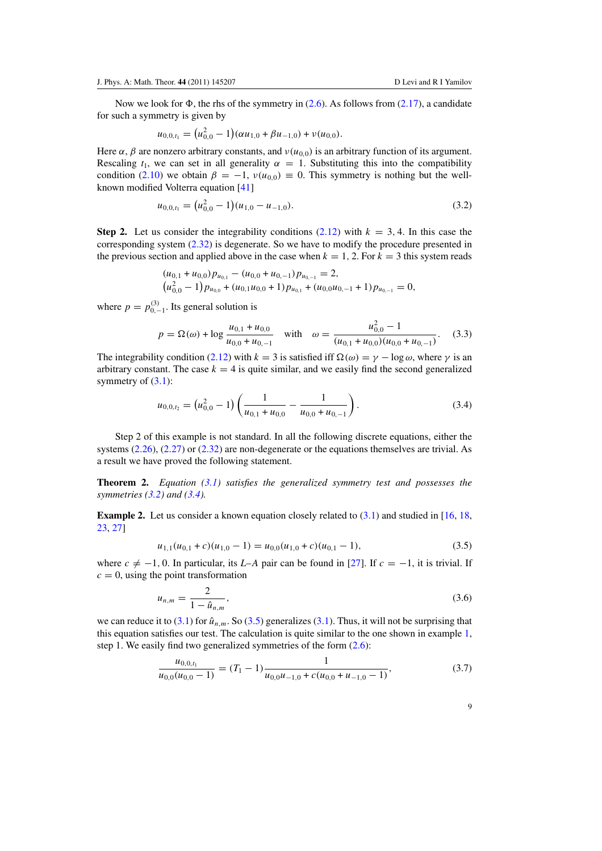<span id="page-9-0"></span>Now we look for  $\Phi$ , the rhs of the symmetry in [\(2.6\)](#page-3-0). As follows from [\(2.17\)](#page-5-0), a candidate for such a symmetry is given by

$$
u_{0,0,t_1} = (u_{0,0}^2 - 1)(\alpha u_{1,0} + \beta u_{-1,0}) + \nu(u_{0,0}).
$$

Here  $\alpha$ ,  $\beta$  are nonzero arbitrary constants, and  $\nu(u_{0,0})$  is an arbitrary function of its argument. Rescaling  $t_1$ , we can set in all generality  $\alpha = 1$ . Substituting this into the compatibility condition [\(2.10\)](#page-4-0) we obtain  $\beta = -1$ ,  $\nu(u_{0,0}) \equiv 0$ . This symmetry is nothing but the wellknown modified Volterra equation [\[41\]](#page-22-0)

$$
u_{0,0,t_1} = (u_{0,0}^2 - 1)(u_{1,0} - u_{-1,0}).
$$
\n(3.2)

**Step 2.** Let us consider the integrability conditions  $(2.12)$  with  $k = 3, 4$ . In this case the corresponding system [\(2.32\)](#page-7-0) is degenerate. So we have to modify the procedure presented in the previous section and applied above in the case when  $k = 1, 2$ . For  $k = 3$  this system reads

$$
(u_{0,1} + u_{0,0})p_{u_{0,1}} - (u_{0,0} + u_{0,-1})p_{u_{0,-1}} = 2,
$$
  
\n
$$
(u_{0,0}^2 - 1)p_{u_{0,0}} + (u_{0,1}u_{0,0} + 1)p_{u_{0,1}} + (u_{0,0}u_{0,-1} + 1)p_{u_{0,-1}} = 0,
$$

where  $p = p_{0,-1}^{(3)}$ . Its general solution is

$$
p = \Omega(\omega) + \log \frac{u_{0,1} + u_{0,0}}{u_{0,0} + u_{0,-1}} \quad \text{with} \quad \omega = \frac{u_{0,0}^2 - 1}{(u_{0,1} + u_{0,0})(u_{0,0} + u_{0,-1})}.
$$
 (3.3)

The integrability condition [\(2.12\)](#page-4-0) with  $k = 3$  is satisfied iff  $\Omega(\omega) = \gamma - \log \omega$ , where  $\gamma$  is an arbitrary constant. The case  $k = 4$  is quite similar, and we easily find the second generalized symmetry of  $(3.1)$ :

$$
u_{0,0,t_2} = (u_{0,0}^2 - 1) \left( \frac{1}{u_{0,1} + u_{0,0}} - \frac{1}{u_{0,0} + u_{0,-1}} \right).
$$
 (3.4)

Step 2 of this example is not standard. In all the following discrete equations, either the systems [\(2.26\)](#page-6-0), [\(2.27\)](#page-6-0) or [\(2.32\)](#page-7-0) are non-degenerate or the equations themselves are trivial. As a result we have proved the following statement.

**Theorem 2.** *Equation [\(3.1\)](#page-8-0) satisfies the generalized symmetry test and possesses the symmetries (3.2) and (3.4).*

**Example 2.** Let us consider a known equation closely related to  $(3.1)$  and studied in [\[16](#page-21-0), [18](#page-21-0), [23,](#page-21-0) [27\]](#page-21-0)

$$
u_{1,1}(u_{0,1}+c)(u_{1,0}-1) = u_{0,0}(u_{1,0}+c)(u_{0,1}-1),
$$
\n(3.5)

where  $c \neq -1, 0$ . In particular, its *L*–*A* pair can be found in [\[27\]](#page-21-0). If  $c = -1$ , it is trivial. If  $c = 0$ , using the point transformation

$$
u_{n,m} = \frac{2}{1 - \hat{u}_{n,m}},
$$
\n(3.6)

we can reduce it to [\(3.1\)](#page-8-0) for  $\hat{u}_{n,m}$ . So (3.5) generalizes (3.1). Thus, it will not be surprising that this equation satisfies our test. The calculation is quite similar to the one shown in example [1,](#page-8-0) step 1. We easily find two generalized symmetries of the form [\(2.6\)](#page-3-0):

$$
\frac{u_{0,0,t_1}}{u_{0,0}(u_{0,0}-1)} = (T_1 - 1) \frac{1}{u_{0,0}u_{-1,0} + c(u_{0,0} + u_{-1,0} - 1)},
$$
\n(3.7)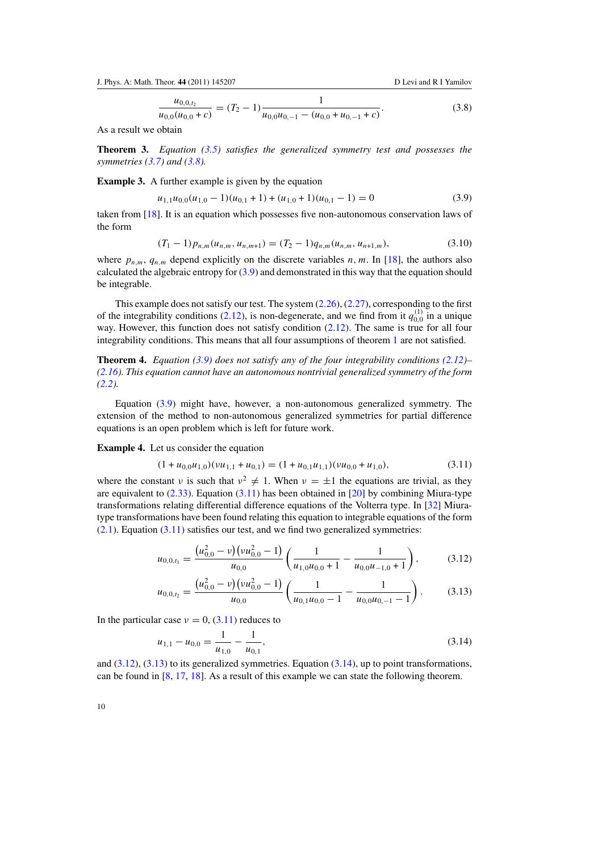$$
\frac{u_{0,0,t_2}}{u_{0,0}(u_{0,0}+c)} = (T_2-1)\frac{1}{u_{0,0}u_{0,-1} - (u_{0,0}+u_{0,-1}+c)}.\tag{3.8}
$$

<span id="page-10-0"></span>As a result we obtain

**Theorem 3.** *Equation [\(3.5\)](#page-9-0) satisfies the generalized symmetry test and possesses the symmetries [\(3.7\)](#page-9-0) and (3.8).*

**Example 3.** A further example is given by the equation

$$
u_{1,1}u_{0,0}(u_{1,0}-1)(u_{0,1}+1)+(u_{1,0}+1)(u_{0,1}-1)=0
$$
\n(3.9)

taken from [\[18](#page-21-0)]. It is an equation which possesses five non-autonomous conservation laws of the form

$$
(T_1 - 1)p_{n,m}(u_{n,m}, u_{n,m+1}) = (T_2 - 1)q_{n,m}(u_{n,m}, u_{n+1,m}),
$$
\n(3.10)

where  $p_{n,m}$ ,  $q_{n,m}$  depend explicitly on the discrete variables *n*, *m*. In [\[18\]](#page-21-0), the authors also calculated the algebraic entropy for  $(3.9)$  and demonstrated in this way that the equation should be integrable.

This example does not satisfy our test. The system  $(2.26)$ ,  $(2.27)$ , corresponding to the first of the integrability conditions [\(2.12\)](#page-4-0), is non-degenerate, and we find from it  $q_{0,0}^{(1)}$  in a unique way. However, this function does not satisfy condition [\(2.12\)](#page-4-0). The same is true for all four integrability conditions. This means that all four assumptions of theorem [1](#page-4-0) are not satisfied.

**Theorem 4.** *Equation (3.9) does not satisfy any of the four integrability conditions [\(2.12\)](#page-4-0)– [\(2.16\)](#page-5-0). This equation cannot have an autonomous nontrivial generalized symmetry of the form [\(2.2\)](#page-3-0).*

Equation (3.9) might have, however, a non-autonomous generalized symmetry. The extension of the method to non-autonomous generalized symmetries for partial difference equations is an open problem which is left for future work.

**Example 4.** Let us consider the equation

$$
(1 + u_{0,0}u_{1,0})(vu_{1,1} + u_{0,1}) = (1 + u_{0,1}u_{1,1})(vu_{0,0} + u_{1,0}),
$$
\n(3.11)

where the constant *ν* is such that  $v^2 \neq 1$ . When  $v = \pm 1$  the equations are trivial, as they are equivalent to  $(2.33)$ . Equation  $(3.11)$  has been obtained in [\[20\]](#page-21-0) by combining Miura-type transformations relating differential difference equations of the Volterra type. In [\[32\]](#page-21-0) Miuratype transformations have been found relating this equation to integrable equations of the form  $(2.1)$ . Equation  $(3.11)$  satisfies our test, and we find two generalized symmetries:

$$
u_{0,0,t_1} = \frac{(u_{0,0}^2 - v)(vu_{0,0}^2 - 1)}{u_{0,0}} \left(\frac{1}{u_{1,0}u_{0,0} + 1} - \frac{1}{u_{0,0}u_{-1,0} + 1}\right),
$$
 (3.12)

$$
u_{0,0,t_2} = \frac{(u_{0,0}^2 - v)(vu_{0,0}^2 - 1)}{u_{0,0}} \left( \frac{1}{u_{0,1}u_{0,0} - 1} - \frac{1}{u_{0,0}u_{0,-1} - 1} \right).
$$
 (3.13)

In the particular case  $v = 0$ ,  $(3.11)$  reduces to

$$
u_{1,1} - u_{0,0} = \frac{1}{u_{1,0}} - \frac{1}{u_{0,1}},
$$
\n(3.14)

and  $(3.12)$ ,  $(3.13)$  to its generalized symmetries. Equation  $(3.14)$ , up to point transformations, can be found in [\[8](#page-21-0), [17](#page-21-0), [18](#page-21-0)]. As a result of this example we can state the following theorem.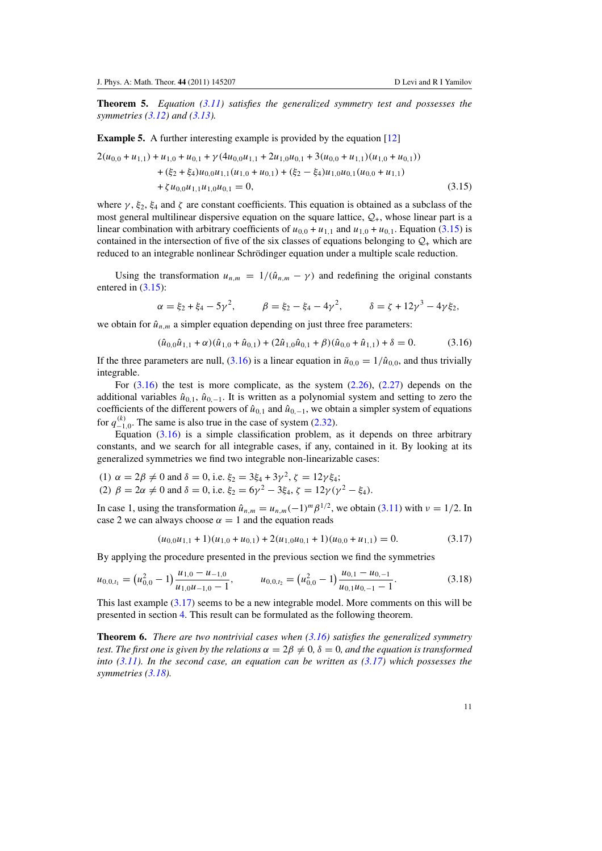<span id="page-11-0"></span>**Theorem 5.** *Equation [\(3.11\)](#page-10-0) satisfies the generalized symmetry test and possesses the symmetries [\(3.12\)](#page-10-0) and [\(3.13\)](#page-10-0).*

**Example 5.** A further interesting example is provided by the equation [\[12\]](#page-21-0)

$$
2(u_{0,0} + u_{1,1}) + u_{1,0} + u_{0,1} + \gamma (4u_{0,0}u_{1,1} + 2u_{1,0}u_{0,1} + 3(u_{0,0} + u_{1,1})(u_{1,0} + u_{0,1})) + (\xi_2 + \xi_4)u_{0,0}u_{1,1}(u_{1,0} + u_{0,1}) + (\xi_2 - \xi_4)u_{1,0}u_{0,1}(u_{0,0} + u_{1,1}) + \zeta u_{0,0}u_{1,1}u_{1,0}u_{0,1} = 0,
$$
\n(3.15)

where  $\gamma$ ,  $\xi_2$ ,  $\xi_4$  and  $\zeta$  are constant coefficients. This equation is obtained as a subclass of the most general multilinear dispersive equation on the square lattice,  $Q_{+}$ , whose linear part is a linear combination with arbitrary coefficients of  $u_{0,0} + u_{1,1}$  and  $u_{1,0} + u_{0,1}$ . Equation (3.15) is contained in the intersection of five of the six classes of equations belonging to  $Q_+$  which are reduced to an integrable nonlinear Schrödinger equation under a multiple scale reduction.

Using the transformation  $u_{n,m} = 1/(\hat{u}_{n,m} - \gamma)$  and redefining the original constants entered in  $(3.15)$ :

$$
\alpha = \xi_2 + \xi_4 - 5\gamma^2, \qquad \beta = \xi_2 - \xi_4 - 4\gamma^2, \qquad \delta = \zeta + 12\gamma^3 - 4\gamma\xi_2,
$$

we obtain for  $\hat{u}_{n,m}$  a simpler equation depending on just three free parameters:

$$
(\hat{u}_{0,0}\hat{u}_{1,1} + \alpha)(\hat{u}_{1,0} + \hat{u}_{0,1}) + (2\hat{u}_{1,0}\hat{u}_{0,1} + \beta)(\hat{u}_{0,0} + \hat{u}_{1,1}) + \delta = 0.
$$
 (3.16)

If the three parameters are null,  $(3.16)$  is a linear equation in  $\tilde{u}_{0,0} = 1/\hat{u}_{0,0}$ , and thus trivially integrable.

For  $(3.16)$  the test is more complicate, as the system  $(2.26)$ ,  $(2.27)$  depends on the additional variables  $\hat{u}_{0,1}$ ,  $\hat{u}_{0,-1}$ . It is written as a polynomial system and setting to zero the coefficients of the different powers of  $\hat{u}_{0,1}$  and  $\hat{u}_{0,-1}$ , we obtain a simpler system of equations for  $q_{-1,0}^{(k)}$ . The same is also true in the case of system [\(2.32\)](#page-7-0).

Equation (3.16) is a simple classification problem, as it depends on three arbitrary constants, and we search for all integrable cases, if any, contained in it. By looking at its generalized symmetries we find two integrable non-linearizable cases:

- (1)  $\alpha = 2\beta \neq 0$  and  $\delta = 0$ , i.e.  $\xi_2 = 3\xi_4 + 3\gamma^2$ ,  $\zeta = 12\gamma \xi_4$ ;
- (2)  $\beta = 2\alpha \neq 0$  and  $\delta = 0$ , i.e.  $\xi_2 = 6\gamma^2 3\xi_4$ ,  $\zeta = 12\gamma(\gamma^2 \xi_4)$ .

In case 1, using the transformation  $\hat{u}_{n,m} = u_{n,m}(-1)^m \beta^{1/2}$ , we obtain [\(3.11\)](#page-10-0) with  $\nu = 1/2$ . In case 2 we can always choose  $\alpha = 1$  and the equation reads

$$
(u_{0,0}u_{1,1} + 1)(u_{1,0} + u_{0,1}) + 2(u_{1,0}u_{0,1} + 1)(u_{0,0} + u_{1,1}) = 0.
$$
 (3.17)

By applying the procedure presented in the previous section we find the symmetries

$$
u_{0,0,t_1} = (u_{0,0}^2 - 1) \frac{u_{1,0} - u_{-1,0}}{u_{1,0}u_{-1,0} - 1}, \qquad u_{0,0,t_2} = (u_{0,0}^2 - 1) \frac{u_{0,1} - u_{0,-1}}{u_{0,1}u_{0,-1} - 1}.
$$
 (3.18)

This last example (3.17) seems to be a new integrable model. More comments on this will be presented in section [4.](#page-15-0) This result can be formulated as the following theorem.

**Theorem 6.** *There are two nontrivial cases when (3.16) satisfies the generalized symmetry test. The first one is given by the relations*  $\alpha = 2\beta \neq 0$ ,  $\delta = 0$ , and the equation is transformed *into [\(3.11\)](#page-10-0). In the second case, an equation can be written as (3.17) which possesses the symmetries (3.18).*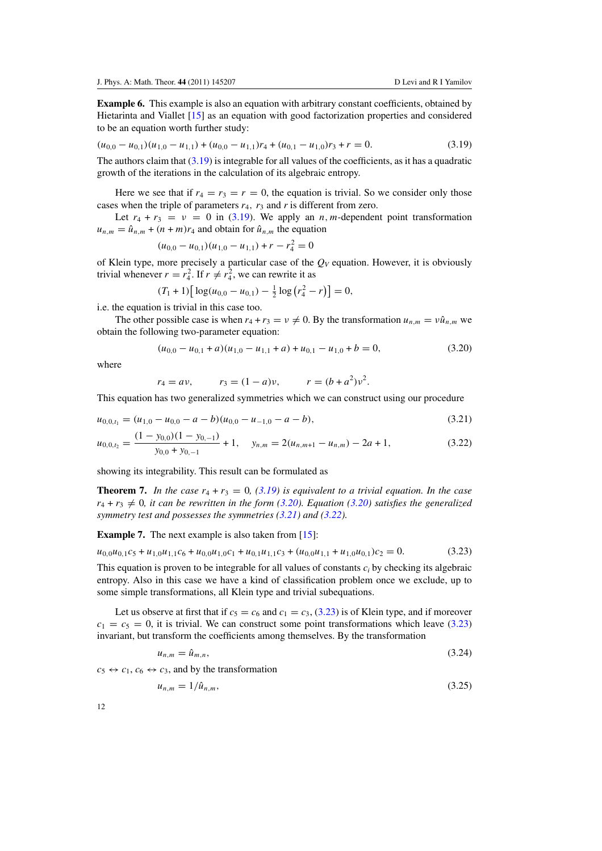<span id="page-12-0"></span>**Example 6.** This example is also an equation with arbitrary constant coefficients, obtained by Hietarinta and Viallet [\[15\]](#page-21-0) as an equation with good factorization properties and considered to be an equation worth further study:

$$
(u_{0,0} - u_{0,1})(u_{1,0} - u_{1,1}) + (u_{0,0} - u_{1,1})r_4 + (u_{0,1} - u_{1,0})r_3 + r = 0.
$$
\n(3.19)

The authors claim that  $(3.19)$  is integrable for all values of the coefficients, as it has a quadratic growth of the iterations in the calculation of its algebraic entropy.

Here we see that if  $r_4 = r_3 = r = 0$ , the equation is trivial. So we consider only those cases when the triple of parameters  $r_4$ ,  $r_3$  and  $r$  is different from zero.

Let  $r_4 + r_3 = v = 0$  in (3.19). We apply an *n*, *m*-dependent point transformation  $u_{n,m} = \hat{u}_{n,m} + (n+m)r_4$  and obtain for  $\hat{u}_{n,m}$  the equation

$$
(u_{0,0} - u_{0,1})(u_{1,0} - u_{1,1}) + r - r_4^2 = 0
$$

of Klein type, more precisely a particular case of the  $Q_V$  equation. However, it is obviously trivial whenever  $r = r_4^2$ . If  $r \neq r_4^2$ , we can rewrite it as

$$
(T_1+1)\big[\log(u_{0,0}-u_{0,1})-\tfrac{1}{2}\log(r_4^2-r)\big]=0,
$$

i.e. the equation is trivial in this case too.

The other possible case is when  $r_4 + r_3 = v \neq 0$ . By the transformation  $u_{n,m} = v \hat{u}_{n,m}$  we obtain the following two-parameter equation:

$$
(u_{0,0} - u_{0,1} + a)(u_{1,0} - u_{1,1} + a) + u_{0,1} - u_{1,0} + b = 0,
$$
\n(3.20)

where

$$
r_4 = av
$$
,  $r_3 = (1 - a)v$ ,  $r = (b + a^2)v^2$ .

This equation has two generalized symmetries which we can construct using our procedure

$$
u_{0,0,t_1} = (u_{1,0} - u_{0,0} - a - b)(u_{0,0} - u_{-1,0} - a - b),
$$
\n(3.2)

$$
u_{0,0,t_2} = \frac{(1 - y_{0,0})(1 - y_{0,-1})}{y_{0,0} + y_{0,-1}} + 1, \quad y_{n,m} = 2(u_{n,m+1} - u_{n,m}) - 2a + 1,\tag{3.22}
$$

showing its integrability. This result can be formulated as

**Theorem 7.** *In the case*  $r_4 + r_3 = 0$ , (3.19) is equivalent to a trivial equation. In the case  $r_4 + r_3 \neq 0$ , it can be rewritten in the form (3.20). Equation (3.20) satisfies the generalized *symmetry test and possesses the symmetries (3.21) and (3.22).*

**Example 7.** The next example is also taken from [\[15\]](#page-21-0):

 $u_{0,0}u_{0,1}c_5 + u_{1,0}u_{1,1}c_6 + u_{0,0}u_{1,0}c_1 + u_{0,1}u_{1,1}c_3 + (u_{0,0}u_{1,1} + u_{1,0}u_{0,1})c_2 = 0.$  (3.23)

This equation is proven to be integrable for all values of constants *ci* by checking its algebraic entropy. Also in this case we have a kind of classification problem once we exclude, up to some simple transformations, all Klein type and trivial subequations.

Let us observe at first that if  $c_5 = c_6$  and  $c_1 = c_3$ , (3.23) is of Klein type, and if moreover  $c_1 = c_5 = 0$ , it is trivial. We can construct some point transformations which leave (3.23) invariant, but transform the coefficients among themselves. By the transformation

$$
u_{n,m} = \hat{u}_{m,n},\tag{3.24}
$$

 $c_5 \leftrightarrow c_1, c_6 \leftrightarrow c_3$ , and by the transformation

$$
u_{n,m} = 1/\hat{u}_{n,m},
$$
\n(3.25)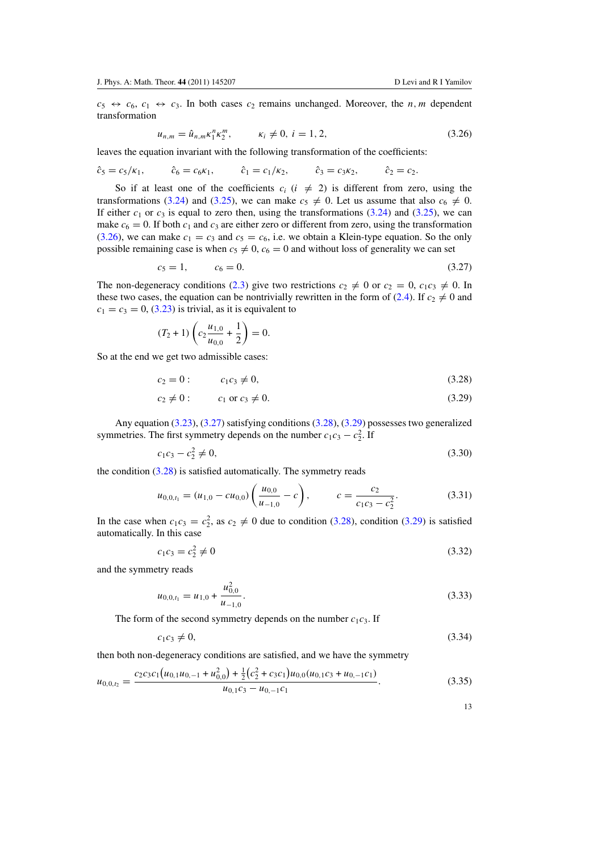<span id="page-13-0"></span> $c_5 \leftrightarrow c_6, c_1 \leftrightarrow c_3$ . In both cases  $c_2$  remains unchanged. Moreover, the *n, m* dependent transformation

$$
u_{n,m} = \hat{u}_{n,m} \kappa_1^n \kappa_2^m, \qquad \kappa_i \neq 0, \ i = 1, 2,
$$
\n(3.26)

leaves the equation invariant with the following transformation of the coefficients:

$$
\hat{c}_5 = c_5/\kappa_1
$$
,  $\hat{c}_6 = c_6\kappa_1$ ,  $\hat{c}_1 = c_1/\kappa_2$ ,  $\hat{c}_3 = c_3\kappa_2$ ,  $\hat{c}_2 = c_2$ .

So if at least one of the coefficients  $c_i$  ( $i \neq 2$ ) is different from zero, using the transformations [\(3.24\)](#page-12-0) and [\(3.25\)](#page-12-0), we can make  $c_5 \neq 0$ . Let us assume that also  $c_6 \neq 0$ . If either  $c_1$  or  $c_3$  is equal to zero then, using the transformations  $(3.24)$  and  $(3.25)$ , we can make  $c_6 = 0$ . If both  $c_1$  and  $c_3$  are either zero or different from zero, using the transformation (3.26), we can make  $c_1 = c_3$  and  $c_5 = c_6$ , i.e. we obtain a Klein-type equation. So the only possible remaining case is when  $c_5 \neq 0$ ,  $c_6 = 0$  and without loss of generality we can set

$$
c_5 = 1, \qquad c_6 = 0. \tag{3.27}
$$

The non-degeneracy conditions [\(2.3\)](#page-3-0) give two restrictions  $c_2 \neq 0$  or  $c_2 = 0$ ,  $c_1c_3 \neq 0$ . In these two cases, the equation can be nontrivially rewritten in the form of  $(2.4)$ . If  $c_2 \neq 0$  and  $c_1 = c_3 = 0$ , [\(3.23\)](#page-12-0) is trivial, as it is equivalent to

$$
(T_2 + 1)\left(c_2 \frac{u_{1,0}}{u_{0,0}} + \frac{1}{2}\right) = 0.
$$

So at the end we get two admissible cases:

$$
c_2 = 0: \t c_1 c_3 \neq 0,\t(3.28)
$$

$$
c_2 \neq 0: \t c_1 \text{ or } c_3 \neq 0. \t (3.29)
$$

Any equation [\(3.23\)](#page-12-0), (3.27) satisfying conditions (3.28), (3.29) possesses two generalized symmetries. The first symmetry depends on the number  $c_1c_3 - c_2^2$ . If

$$
c_1c_3 - c_2^2 \neq 0,\tag{3.30}
$$

the condition  $(3.28)$  is satisfied automatically. The symmetry reads

$$
u_{0,0,t_1} = (u_{1,0} - cu_{0,0}) \left( \frac{u_{0,0}}{u_{-1,0}} - c \right), \qquad c = \frac{c_2}{c_1 c_3 - c_2^2}.
$$
 (3.31)

In the case when  $c_1c_3 = c_2^2$ , as  $c_2 \neq 0$  due to condition (3.28), condition (3.29) is satisfied automatically. In this case

$$
c_1c_3 = c_2^2 \neq 0 \tag{3.32}
$$

and the symmetry reads

$$
u_{0,0,t_1} = u_{1,0} + \frac{u_{0,0}^2}{u_{-1,0}}.\t\t(3.33)
$$

The form of the second symmetry depends on the number  $c_1c_3$ . If

$$
c_1c_3 \neq 0,\tag{3.34}
$$

then both non-degeneracy conditions are satisfied, and we have the symmetry

$$
u_{0,0,t_2} = \frac{c_2 c_3 c_1 (u_{0,1} u_{0,-1} + u_{0,0}^2) + \frac{1}{2} (c_2^2 + c_3 c_1) u_{0,0} (u_{0,1} c_3 + u_{0,-1} c_1)}{u_{0,1} c_3 - u_{0,-1} c_1}.
$$
(3.35)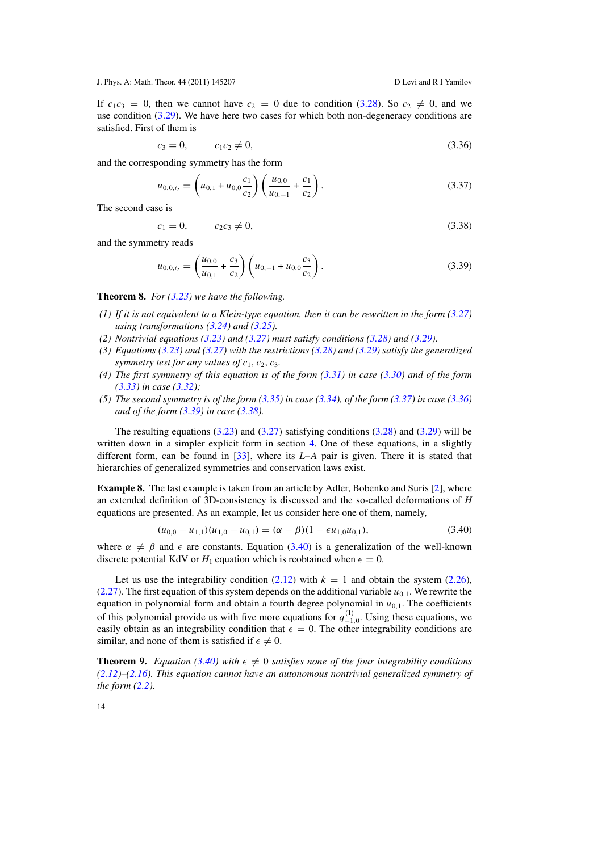<span id="page-14-0"></span>If  $c_1c_3 = 0$ , then we cannot have  $c_2 = 0$  due to condition [\(3.28\)](#page-13-0). So  $c_2 \neq 0$ , and we use condition [\(3.29\)](#page-13-0). We have here two cases for which both non-degeneracy conditions are satisfied. First of them is

$$
c_3 = 0, \qquad c_1 c_2 \neq 0,\tag{3.36}
$$

and the corresponding symmetry has the form

$$
u_{0,0,t_2} = \left(u_{0,1} + u_{0,0}\frac{c_1}{c_2}\right)\left(\frac{u_{0,0}}{u_{0,-1}} + \frac{c_1}{c_2}\right). \tag{3.37}
$$

The second case is

$$
c_1 = 0, \qquad c_2 c_3 \neq 0,\tag{3.38}
$$

and the symmetry reads

$$
u_{0,0,t_2} = \left(\frac{u_{0,0}}{u_{0,1}} + \frac{c_3}{c_2}\right) \left(u_{0,-1} + u_{0,0}\frac{c_3}{c_2}\right).
$$
 (3.39)

**Theorem 8.** *For [\(3.23\)](#page-12-0) we have the following.*

- *(1) If it is not equivalent to a Klein-type equation, then it can be rewritten in the form [\(3.27\)](#page-13-0) using transformations [\(3.24\)](#page-12-0) and [\(3.25\)](#page-12-0).*
- *(2) Nontrivial equations [\(3.23\)](#page-12-0) and [\(3.27\)](#page-13-0) must satisfy conditions [\(3.28\)](#page-13-0) and [\(3.29\)](#page-13-0).*
- *(3) Equations [\(3.23\)](#page-12-0) and [\(3.27\)](#page-13-0) with the restrictions [\(3.28\)](#page-13-0) and [\(3.29\)](#page-13-0) satisfy the generalized symmetry test for any values of*  $c_1$ *,*  $c_2$ *,*  $c_3$ *.*
- *(4) The first symmetry of this equation is of the form [\(3.31\)](#page-13-0) in case [\(3.30\)](#page-13-0) and of the form [\(3.33\)](#page-13-0) in case [\(3.32\)](#page-13-0);*
- *(5) The second symmetry is of the form [\(3.35\)](#page-13-0) in case [\(3.34\)](#page-13-0), of the form (3.37) in case (3.36) and of the form (3.39) in case (3.38).*

The resulting equations  $(3.23)$  and  $(3.27)$  satisfying conditions  $(3.28)$  and  $(3.29)$  will be written down in a simpler explicit form in section [4.](#page-15-0) One of these equations, in a slightly different form, can be found in [\[33](#page-21-0)], where its *L*–*A* pair is given. There it is stated that hierarchies of generalized symmetries and conservation laws exist.

**Example 8.** The last example is taken from an article by Adler, Bobenko and Suris [\[2](#page-20-0)], where an extended definition of 3D-consistency is discussed and the so-called deformations of *H* equations are presented. As an example, let us consider here one of them, namely,

$$
(u_{0,0} - u_{1,1})(u_{1,0} - u_{0,1}) = (\alpha - \beta)(1 - \epsilon u_{1,0}u_{0,1}),
$$
\n(3.40)

where  $\alpha \neq \beta$  and  $\epsilon$  are constants. Equation (3.40) is a generalization of the well-known discrete potential KdV or  $H_1$  equation which is reobtained when  $\epsilon = 0$ .

Let us use the integrability condition  $(2.12)$  with  $k = 1$  and obtain the system  $(2.26)$ , [\(2.27\)](#page-6-0). The first equation of this system depends on the additional variable  $u_{0,1}$ . We rewrite the equation in polynomial form and obtain a fourth degree polynomial in  $u_{0,1}$ . The coefficients of this polynomial provide us with five more equations for  $q_{-1,0}^{(1)}$ . Using these equations, we easily obtain as an integrability condition that  $\epsilon = 0$ . The other integrability conditions are similar, and none of them is satisfied if  $\epsilon \neq 0$ .

**Theorem 9.** *Equation (3.40) with*  $\epsilon \neq 0$  *satisfies none of the four integrability conditions [\(2.12\)](#page-4-0)–[\(2.16\)](#page-5-0). This equation cannot have an autonomous nontrivial generalized symmetry of the form [\(2.2\)](#page-3-0).*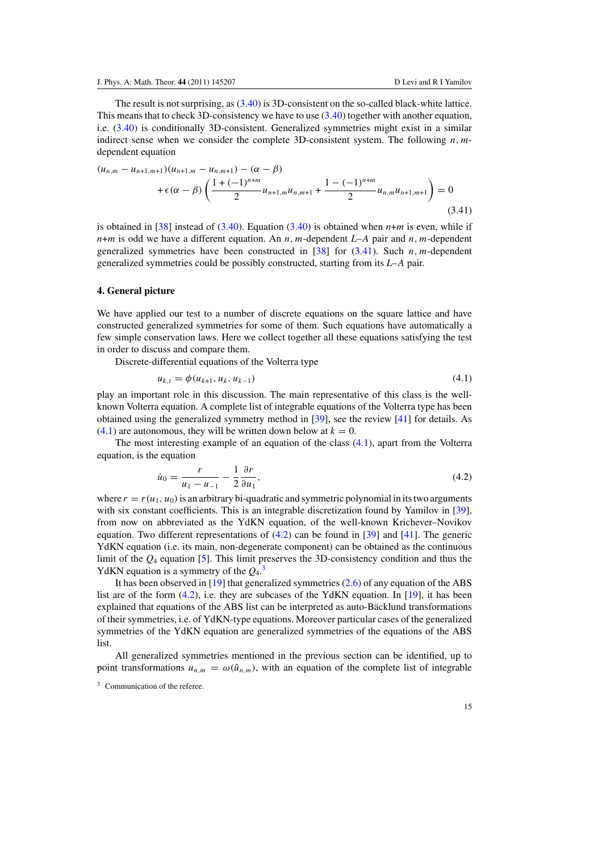<span id="page-15-0"></span>The result is not surprising, as [\(3.40\)](#page-14-0) is 3D-consistent on the so-called black-white lattice. This means that to check 3D-consistency we have to use [\(3.40\)](#page-14-0) together with another equation, i.e. [\(3.40\)](#page-14-0) is conditionally 3D-consistent. Generalized symmetries might exist in a similar indirect sense when we consider the complete 3D-consistent system. The following *n, m*dependent equation

$$
(u_{n,m} - u_{n+1,m+1})(u_{n+1,m} - u_{n,m+1}) - (\alpha - \beta) + \epsilon(\alpha - \beta) \left( \frac{1 + (-1)^{n+m}}{2} u_{n+1,m} u_{n,m+1} + \frac{1 - (-1)^{n+m}}{2} u_{n,m} u_{n+1,m+1} \right) = 0
$$
\n(3.41)

is obtained in [\[38\]](#page-22-0) instead of  $(3.40)$ . Equation  $(3.40)$  is obtained when  $n+m$  is even, while if *n*+*m* is odd we have a different equation. An *n, m*-dependent *L*–*A* pair and *n, m*-dependent generalized symmetries have been constructed in [\[38](#page-22-0)] for (3.41). Such *n, m*-dependent generalized symmetries could be possibly constructed, starting from its *L*–*A* pair.

#### **4. General picture**

We have applied our test to a number of discrete equations on the square lattice and have constructed generalized symmetries for some of them. Such equations have automatically a few simple conservation laws. Here we collect together all these equations satisfying the test in order to discuss and compare them.

Discrete-differential equations of the Volterra type

$$
u_{k,t} = \phi(u_{k+1}, u_k, u_{k-1})
$$
\n(4.1)

play an important role in this discussion. The main representative of this class is the wellknown Volterra equation. A complete list of integrable equations of the Volterra type has been obtained using the generalized symmetry method in [\[39](#page-22-0)], see the review [\[41](#page-22-0)] for details. As  $(4.1)$  are autonomous, they will be written down below at  $k = 0$ .

The most interesting example of an equation of the class  $(4.1)$ , apart from the Volterra equation, is the equation

$$
\dot{u}_0 = \frac{r}{u_1 - u_{-1}} - \frac{1}{2} \frac{\partial r}{\partial u_1},\tag{4.2}
$$

where  $r = r(u_1, u_0)$  is an arbitrary bi-quadratic and symmetric polynomial in its two arguments with six constant coefficients. This is an integrable discretization found by Yamilov in [\[39\]](#page-22-0), from now on abbreviated as the YdKN equation, of the well-known Krichever–Novikov equation. Two different representations of  $(4.2)$  can be found in [\[39\]](#page-22-0) and [\[41](#page-22-0)]. The generic YdKN equation (i.e. its main, non-degenerate component) can be obtained as the continuous limit of the  $O_4$  equation [\[5](#page-20-0)]. This limit preserves the 3D-consistency condition and thus the YdKN equation is a symmetry of the  $Q_4$ .<sup>3</sup>

It has been observed in [\[19](#page-21-0)] that generalized symmetries [\(2.6\)](#page-3-0) of any equation of the ABS list are of the form  $(4.2)$ , i.e. they are subcases of the YdKN equation. In [\[19](#page-21-0)], it has been explained that equations of the ABS list can be interpreted as auto-Bäcklund transformations of their symmetries, i.e. of YdKN-type equations. Moreover particular cases of the generalized symmetries of the YdKN equation are generalized symmetries of the equations of the ABS list.

All generalized symmetries mentioned in the previous section can be identified, up to point transformations  $u_{n,m} = \omega(\hat{u}_{n,m})$ , with an equation of the complete list of integrable

 $3$  Communication of the referee.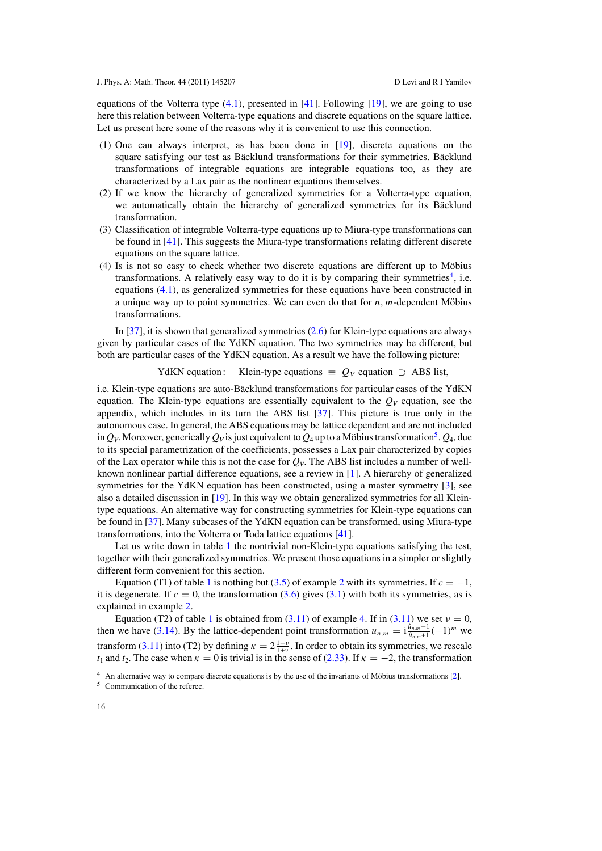equations of the Volterra type  $(4.1)$ , presented in [\[41\]](#page-22-0). Following [\[19\]](#page-21-0), we are going to use here this relation between Volterra-type equations and discrete equations on the square lattice. Let us present here some of the reasons why it is convenient to use this connection.

- (1) One can always interpret, as has been done in [\[19\]](#page-21-0), discrete equations on the square satisfying our test as Bäcklund transformations for their symmetries. Bäcklund transformations of integrable equations are integrable equations too, as they are characterized by a Lax pair as the nonlinear equations themselves.
- (2) If we know the hierarchy of generalized symmetries for a Volterra-type equation, we automatically obtain the hierarchy of generalized symmetries for its Bäcklund transformation.
- (3) Classification of integrable Volterra-type equations up to Miura-type transformations can be found in [\[41\]](#page-22-0). This suggests the Miura-type transformations relating different discrete equations on the square lattice.
- (4) Is is not so easy to check whether two discrete equations are different up to Mobius ¨ transformations. A relatively easy way to do it is by comparing their symmetries<sup>4</sup>, i.e. equations [\(4.1\)](#page-15-0), as generalized symmetries for these equations have been constructed in a unique way up to point symmetries. We can even do that for  $n, m$ -dependent Möbius transformations.

In  $[37]$ , it is shown that generalized symmetries  $(2.6)$  for Klein-type equations are always given by particular cases of the YdKN equation. The two symmetries may be different, but both are particular cases of the YdKN equation. As a result we have the following picture:

YdKN equation: Klein-type equations  $\equiv Q_V$  equation  $\supset$  ABS list,

i.e. Klein-type equations are auto-Bäcklund transformations for particular cases of the YdKN equation. The Klein-type equations are essentially equivalent to the  $Q_V$  equation, see the appendix, which includes in its turn the ABS list [\[37\]](#page-22-0). This picture is true only in the autonomous case. In general, the ABS equations may be lattice dependent and are not included in  $Q_V$ . Moreover, generically  $Q_V$  is just equivalent to  $Q_4$  up to a Möbius transformation<sup>5</sup>.  $Q_4$ , due to its special parametrization of the coefficients, possesses a Lax pair characterized by copies of the Lax operator while this is not the case for  $Q_V$ . The ABS list includes a number of wellknown nonlinear partial difference equations, see a review in [\[1\]](#page-20-0). A hierarchy of generalized symmetries for the YdKN equation has been constructed, using a master symmetry [\[3\]](#page-20-0), see also a detailed discussion in [\[19](#page-21-0)]. In this way we obtain generalized symmetries for all Kleintype equations. An alternative way for constructing symmetries for Klein-type equations can be found in [\[37](#page-22-0)]. Many subcases of the YdKN equation can be transformed, using Miura-type transformations, into the Volterra or Toda lattice equations [\[41](#page-22-0)].

Let us write down in table [1](#page-17-0) the nontrivial non-Klein-type equations satisfying the test, together with their generalized symmetries. We present those equations in a simpler or slightly different form convenient for this section.

Equation (T[1](#page-17-0)) of table 1 is nothing but [\(3.5\)](#page-9-0) of example [2](#page-9-0) with its symmetries. If  $c = -1$ , it is degenerate. If  $c = 0$ , the transformation  $(3.6)$  gives  $(3.1)$  with both its symmetries, as is explained in example [2.](#page-9-0)

Equation (T2) of table [1](#page-17-0) is obtained from [\(3.11\)](#page-10-0) of example [4.](#page-10-0) If in (3.11) we set  $v = 0$ , then we have [\(3.14\)](#page-10-0). By the lattice-dependent point transformation  $u_{n,m} = i \frac{\hat{u}_{n,m-1}}{\hat{u}_{n,m+1}} (-1)^m$  we transform [\(3.11\)](#page-10-0) into (T2) by defining  $\kappa = 2\frac{1-\nu}{1+\nu}$ . In order to obtain its symmetries, we rescale *t*<sub>1</sub> and *t*<sub>2</sub>. The case when  $\kappa = 0$  is trivial is in the sense of [\(2.33\)](#page-8-0). If  $\kappa = -2$ , the transformation

<sup>&</sup>lt;sup>4</sup> An alternative way to compare discrete equations is by the use of the invariants of Möbius transformations [[2\]](#page-20-0).

<sup>5</sup> Communication of the referee.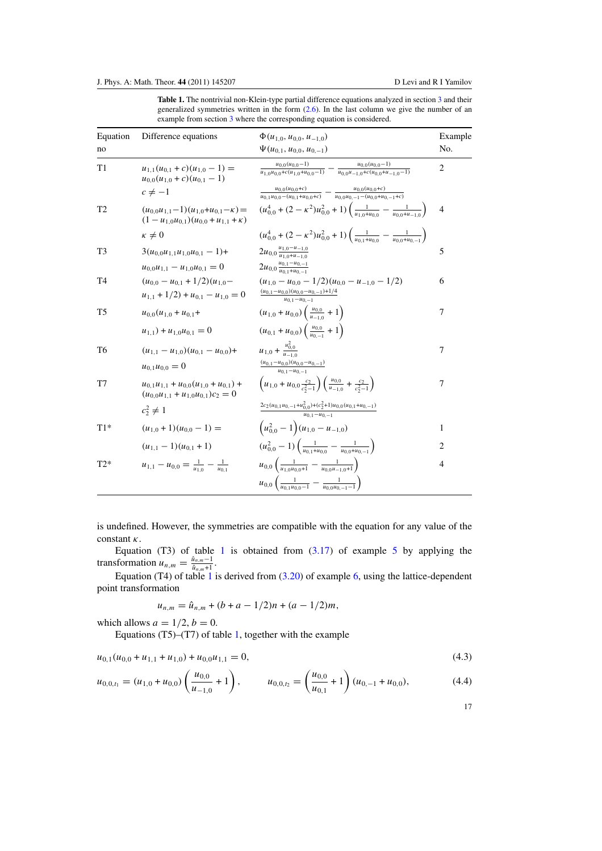| <b>Table 1.</b> The nontrivial non-Klein-type partial difference equations analyzed in section 3 and their |
|------------------------------------------------------------------------------------------------------------|
| generalized symmetries written in the form $(2.6)$ . In the last column we give the number of an           |
| example from section 3 where the corresponding equation is considered.                                     |
|                                                                                                            |

<span id="page-17-0"></span>

| Equation       | Difference equations                                                                            | $\Phi(u_{1,0}, u_{0,0}, u_{-1,0})$                                                                                                                                                  | Example<br>No. |
|----------------|-------------------------------------------------------------------------------------------------|-------------------------------------------------------------------------------------------------------------------------------------------------------------------------------------|----------------|
| no             |                                                                                                 | $\Psi(u_{0.1}, u_{0.0}, u_{0,-1})$                                                                                                                                                  |                |
| T1             | $u_{1,1}(u_{0,1}+c)(u_{1,0}-1)=$<br>$u_{0.0}(u_{1.0}+c)(u_{0.1}-1)$                             | $u_{0,0}(u_{0,0}-1)$<br>$u_{0.0}(u_{0.0}-1)$<br>$\frac{u_{0,0}(u_{0,0}-1)}{u_{1,0}u_{0,0}+c(u_{1,0}+u_{0,0}-1)} - \frac{u_{0,0}(u_{0,0}-1)}{u_{0,0}u_{-1,0}+c(u_{0,0}+u_{-1,0}-1)}$ | $\overline{2}$ |
|                | $c \neq -1$                                                                                     | $\frac{u_{0,0}(u_{0,0}+c)}{u_{0,1}u_{0,0}-(u_{0,1}+u_{0,0}+c)} - \frac{u_{0,0}(u_{0,0}+c)}{u_{0,0}u_{0,-1}-(u_{0,0}+u_{0,-1}+c)}$                                                   |                |
| T2             | $(u_{0,0}u_{1,1}-1)(u_{1,0}+u_{0,1}-\kappa)=$<br>$(1 - u_{10}u_{01})(u_{00} + u_{11} + \kappa)$ | $(u_{0,0}^4 + (2 - \kappa^2)u_{0,0}^2 + 1) \left( \frac{1}{u_{1,0} + u_{0,0}} - \frac{1}{u_{0,0} + u_{-1,0}} \right)$                                                               | $\overline{4}$ |
|                | $\kappa \neq 0$                                                                                 | $(u_{0,0}^4 + (2 - \kappa^2)u_{0,0}^2 + 1) \left( \frac{1}{u_{0,1} + u_{0,0}} - \frac{1}{u_{0,0} + u_{0,-1}} \right)$                                                               |                |
| T <sub>3</sub> | $3(u_{0.0}u_{1.1}u_{1.0}u_{0.1} - 1) +$                                                         | $2u_{0,0} \frac{u_{1,0}-u_{-1,0}}{u_{1,0}+u_{-1,0}}$                                                                                                                                | 5              |
|                | $u_{0.0}u_{1.1} - u_{1.0}u_{0.1} = 0$                                                           | $2u_{0,0} \frac{u_{0,1}-u_{0,-1}}{u_{0,1}+u_{0,-1}}$                                                                                                                                |                |
| T <sub>4</sub> | $(u_{0,0} - u_{0,1} + 1/2)(u_{1,0} -$                                                           | $(u_{1,0} - u_{0,0} - 1/2)(u_{0,0} - u_{-1,0} - 1/2)$                                                                                                                               | 6              |
|                | $u_{1,1} + 1/2$ + $u_{0,1} - u_{1,0} = 0$                                                       | $\frac{(u_{0,1}-u_{0,0})(u_{0,0}-u_{0,-1})+1/4}{u_{0,1}-u_{0,-1}}$                                                                                                                  |                |
| T5             | $u_{0.0}(u_{1.0}+u_{0.1}+$                                                                      | $(u_{1,0}+u_{0,0})\left(\frac{u_{0,0}}{u_{1,0}}+1\right)$                                                                                                                           | 7              |
|                | $u_{1,1}$ ) + $u_{1,0}u_{0,1} = 0$                                                              | $(u_{0,1}+u_{0,0})\left(\frac{u_{0,0}}{u_{0,1}}+1\right)$                                                                                                                           |                |
| T <sub>6</sub> | $(u_{1,1} - u_{1,0})(u_{0,1} - u_{0,0}) +$                                                      | $u_{1,0} + \frac{u_{0,0}^2}{u_{0,0}}$                                                                                                                                               | 7              |
|                | $u_{0,1}u_{0,0}=0$                                                                              | $\frac{(u_{0,1}-u_{0,0})(u_{0,0}-u_{0,-1})}{}$<br>$\frac{u_0}{u_0}$ 1 – $u_0$ – 1                                                                                                   |                |
| T7             | $u_{0,1}u_{1,1}+u_{0,0}(u_{1,0}+u_{0,1})+$<br>$(u_{0,0}u_{1,1}+u_{1,0}u_{0,1})c_2=0$            | $\left(u_{1,0}+u_{0,0}\frac{c_2}{c_1^2-1}\right)\left(\frac{u_{0,0}}{u_{1,0}}+\frac{c_2}{c_1^2-1}\right)$                                                                           | 7              |
|                | $c_2^2 \neq 1$                                                                                  | $2c_2(u_{0,1}u_{0,-1}+u_{0,0}^2)+(c_2^2+1)u_{0,0}(u_{0,1}+u_{0,-1})$                                                                                                                |                |
| $T1*$          | $(u_{1,0}+1)(u_{0,0}-1)=$                                                                       | $(u_{0,0}^2-1)(u_{1,0}-u_{-1,0})$                                                                                                                                                   | 1              |
|                | $(u_{11}-1)(u_{01}+1)$                                                                          | $(u_{0,0}^2-1)\left(\frac{1}{u_{0,1}+u_{0,0}}-\frac{1}{u_{0,0}+u_{0,-1}}\right)$                                                                                                    | 2              |
| $T2*$          | $u_{1,1} - u_{0,0} = \frac{1}{u_{1,0}} - \frac{1}{u_{0,1}}$                                     | $u_{0,0}\left(\frac{1}{u_{1,0}u_{0,0}+1}-\frac{1}{u_{0,0}u_{-1,0}+1}\right)$                                                                                                        | $\overline{4}$ |
|                |                                                                                                 | $u_{0,0}\left(\frac{1}{u_{0,1}u_{0,0}-1}-\frac{1}{u_{0,0}u_{0,-1}-1}\right)$                                                                                                        |                |

is undefined. However, the symmetries are compatible with the equation for any value of the constant *κ*.

Equation (T3) of table 1 is obtained from  $(3.17)$  of example [5](#page-11-0) by applying the transformation  $u_{n,m} = \frac{\hat{u}_{n,m}-1}{\hat{u}_{n,m}+1}$ .

Equation (T4) of table 1 is derived from  $(3.20)$  of example [6,](#page-11-0) using the lattice-dependent point transformation

$$
u_{n,m} = \hat{u}_{n,m} + (b + a - 1/2)n + (a - 1/2)m,
$$

which allows  $a = 1/2$ ,  $b = 0$ .

Equations (T5)–(T7) of table 1, together with the example

$$
u_{0,1}(u_{0,0} + u_{1,1} + u_{1,0}) + u_{0,0}u_{1,1} = 0,
$$
\n
$$
(4.3)
$$

$$
u_{0,0,t_1} = (u_{1,0} + u_{0,0}) \left( \frac{u_{0,0}}{u_{-1,0}} + 1 \right), \qquad u_{0,0,t_2} = \left( \frac{u_{0,0}}{u_{0,1}} + 1 \right) (u_{0,-1} + u_{0,0}), \tag{4.4}
$$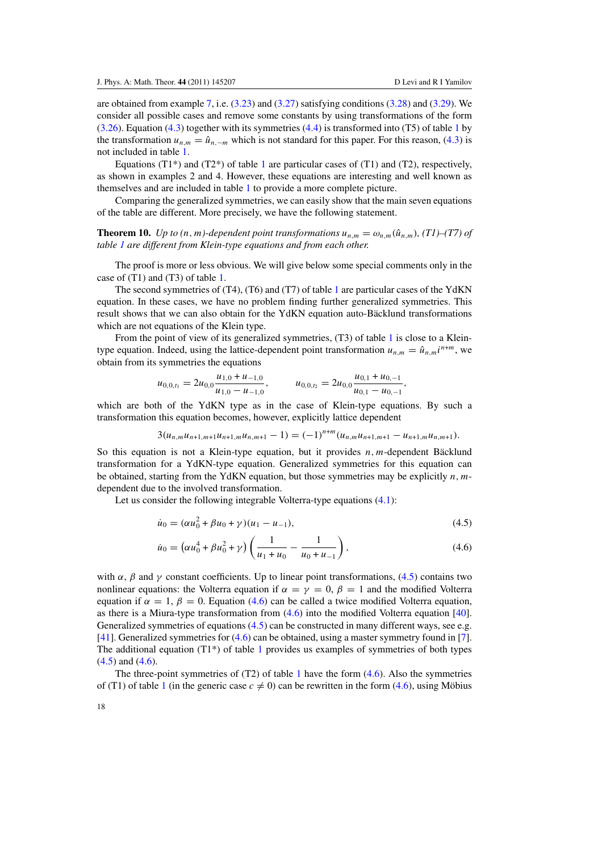<span id="page-18-0"></span>are obtained from example [7,](#page-12-0) i.e. [\(3.23\)](#page-12-0) and [\(3.27\)](#page-13-0) satisfying conditions [\(3.28\)](#page-13-0) and [\(3.29\)](#page-13-0). We consider all possible cases and remove some constants by using transformations of the form  $(3.26)$ . Equation  $(4.3)$  together with its symmetries  $(4.4)$  is transformed into (T5) of table [1](#page-17-0) by the transformation  $u_{n,m} = \hat{u}_{n,-m}$  which is not standard for this paper. For this reason, [\(4.3\)](#page-17-0) is not included in table [1.](#page-17-0)

Equations (T[1](#page-17-0)\*) and (T2\*) of table 1 are particular cases of (T1) and (T2), respectively, as shown in examples 2 and 4. However, these equations are interesting and well known as themselves and are included in table [1](#page-17-0) to provide a more complete picture.

Comparing the generalized symmetries, we can easily show that the main seven equations of the table are different. More precisely, we have the following statement.

**Theorem 10.** *Up to (n, m)-dependent point transformations*  $u_{n,m} = \omega_{n,m}(\hat{u}_{n,m})$ *, (T1)–(T7) of table [1](#page-17-0) are different from Klein-type equations and from each other.*

The proof is more or less obvious. We will give below some special comments only in the case of (T1) and (T3) of table [1.](#page-17-0)

The second symmetries of (T4), (T6) and (T7) of table [1](#page-17-0) are particular cases of the YdKN equation. In these cases, we have no problem finding further generalized symmetries. This result shows that we can also obtain for the YdKN equation auto-Bäcklund transformations which are not equations of the Klein type.

From the point of view of its generalized symmetries, (T3) of table [1](#page-17-0) is close to a Kleintype equation. Indeed, using the lattice-dependent point transformation  $u_{nm} = \hat{u}_{nm} i^{n+m}$ , we obtain from its symmetries the equations

$$
u_{0,0,t_1} = 2u_{0,0}\frac{u_{1,0} + u_{-1,0}}{u_{1,0} - u_{-1,0}}, \qquad u_{0,0,t_2} = 2u_{0,0}\frac{u_{0,1} + u_{0,-1}}{u_{0,1} - u_{0,-1}},
$$

which are both of the YdKN type as in the case of Klein-type equations. By such a transformation this equation becomes, however, explicitly lattice dependent

$$
3(u_{n,m}u_{n+1,m+1}u_{n+1,m}u_{n,m+1}-1)=(-1)^{n+m}(u_{n,m}u_{n+1,m+1}-u_{n+1,m}u_{n,m+1}).
$$

So this equation is not a Klein-type equation, but it provides  $n, m$ -dependent Bäcklund transformation for a YdKN-type equation. Generalized symmetries for this equation can be obtained, starting from the YdKN equation, but those symmetries may be explicitly *n, m*dependent due to the involved transformation.

Let us consider the following integrable Volterra-type equations  $(4.1)$ :

$$
\dot{u}_0 = (\alpha u_0^2 + \beta u_0 + \gamma)(u_1 - u_{-1}),\tag{4.5}
$$

$$
\dot{u}_0 = \left(\alpha u_0^4 + \beta u_0^2 + \gamma\right) \left(\frac{1}{u_1 + u_0} - \frac{1}{u_0 + u_{-1}}\right),\tag{4.6}
$$

with  $\alpha$ ,  $\beta$  and  $\gamma$  constant coefficients. Up to linear point transformations, (4.5) contains two nonlinear equations: the Volterra equation if  $\alpha = \gamma = 0$ ,  $\beta = 1$  and the modified Volterra equation if  $\alpha = 1$ ,  $\beta = 0$ . Equation (4.6) can be called a twice modified Volterra equation, as there is a Miura-type transformation from (4.6) into the modified Volterra equation [\[40\]](#page-22-0). Generalized symmetries of equations (4.5) can be constructed in many different ways, see e.g. [\[41](#page-22-0)]. Generalized symmetries for (4.6) can be obtained, using a master symmetry found in [\[7\]](#page-21-0). The additional equation (T[1](#page-17-0)\*) of table 1 provides us examples of symmetries of both types (4.5) and (4.6).

The three-point symmetries of  $(T2)$  of table [1](#page-17-0) have the form  $(4.6)$ . Also the symmetries of (T[1](#page-17-0)) of table 1 (in the generic case  $c \neq 0$ ) can be rewritten in the form (4.6), using Möbius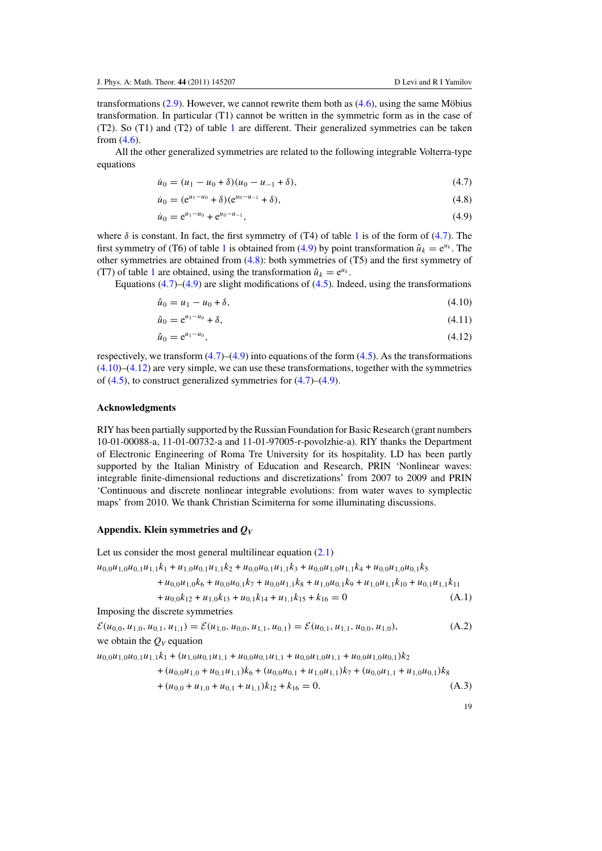transformations  $(2.9)$ . However, we cannot rewrite them both as  $(4.6)$ , using the same Möbius transformation. In particular (T1) cannot be written in the symmetric form as in the case of (T2). So (T1) and (T2) of table [1](#page-17-0) are different. Their generalized symmetries can be taken from [\(4.6\)](#page-18-0).

All the other generalized symmetries are related to the following integrable Volterra-type equations

$$
\dot{u}_0 = (u_1 - u_0 + \delta)(u_0 - u_{-1} + \delta),\tag{4.7}
$$

$$
\dot{u}_0 = (e^{u_1 - u_0} + \delta)(e^{u_0 - u_{-1}} + \delta), \tag{4.8}
$$

$$
\dot{u}_0 = e^{u_1 - u_0} + e^{u_0 - u_{-1}},\tag{4.9}
$$

where  $\delta$  is constant. In fact, the first symmetry of (T4) of table [1](#page-17-0) is of the form of (4.7). The first symmetry of (T6) of table [1](#page-17-0) is obtained from (4.9) by point transformation  $\hat{u}_k = e^{u_k}$ . The other symmetries are obtained from (4.8): both symmetries of (T5) and the first symmetry of (T7) of table [1](#page-17-0) are obtained, using the transformation  $\hat{u}_k = e^{u_k}$ .

Equations  $(4.7)$ – $(4.9)$  are slight modifications of  $(4.5)$ . Indeed, using the transformations

$$
\hat{u}_0 = u_1 - u_0 + \delta,\tag{4.10}
$$

$$
\hat{u}_0 = e^{u_1 - u_0} + \delta,\tag{4.11}
$$

$$
\hat{u}_0 = e^{u_1 - u_0},\tag{4.12}
$$

respectively, we transform  $(4.7)$ – $(4.9)$  into equations of the form  $(4.5)$ . As the transformations  $(4.10)$ – $(4.12)$  are very simple, we can use these transformations, together with the symmetries of [\(4.5\)](#page-18-0), to construct generalized symmetries for (4.7)–(4.9).

#### **Acknowledgments**

RIY has been partially supported by the Russian Foundation for Basic Research (grant numbers 10-01-00088-a, 11-01-00732-a and 11-01-97005-r-povolzhie-a). RIY thanks the Department of Electronic Engineering of Roma Tre University for its hospitality. LD has been partly supported by the Italian Ministry of Education and Research, PRIN 'Nonlinear waves: integrable finite-dimensional reductions and discretizations' from 2007 to 2009 and PRIN 'Continuous and discrete nonlinear integrable evolutions: from water waves to symplectic maps' from 2010. We thank Christian Scimiterna for some illuminating discussions.

#### **Appendix. Klein symmetries and** *QV*

Let us consider the most general multilinear equation  $(2.1)$ 

 $u_{0,0}u_{1,0}u_{0,1}u_{1,1}k_1 + u_{1,0}u_{0,1}u_{1,1}k_2 + u_{0,0}u_{0,1}u_{1,1}k_3 + u_{0,0}u_{1,0}u_{1,1}k_4 + u_{0,0}u_{1,0}u_{0,1}k_5$ 

$$
+u_{0,0}u_{1,0}k_6+u_{0,0}u_{0,1}k_7+u_{0,0}u_{1,1}k_8+u_{1,0}u_{0,1}k_9+u_{1,0}u_{1,1}k_{10}+u_{0,1}u_{1,1}k_{11}
$$

$$
+u_{0,0}k_{12} + u_{1,0}k_{13} + u_{0,1}k_{14} + u_{1,1}k_{15} + k_{16} = 0
$$
\n(A.1)

Imposing the discrete symmetries

$$
\mathcal{E}(u_{0,0}, u_{1,0}, u_{0,1}, u_{1,1}) = \mathcal{E}(u_{1,0}, u_{0,0}, u_{1,1}, u_{0,1}) = \mathcal{E}(u_{0,1}, u_{1,1}, u_{0,0}, u_{1,0}),
$$
\n(A.2)

\nwe obtain the  $Q_V$  equation

 $u_{0,0}u_{1,0}u_{0,1}u_{1,1}k_1 + (u_{1,0}u_{0,1}u_{1,1} + u_{0,0}u_{0,1}u_{1,1} + u_{0,0}u_{1,0}u_{1,1} + u_{0,0}u_{1,0}u_{0,1})k_2$ 

+
$$
(u_{0,0}u_{1,0} + u_{0,1}u_{1,1})k_6 + (u_{0,0}u_{0,1} + u_{1,0}u_{1,1})k_7 + (u_{0,0}u_{1,1} + u_{1,0}u_{0,1})k_8
$$

+
$$
(u_{0,0} + u_{1,0} + u_{0,1} + u_{1,1})k_{12} + k_{16} = 0.
$$
 (A.3)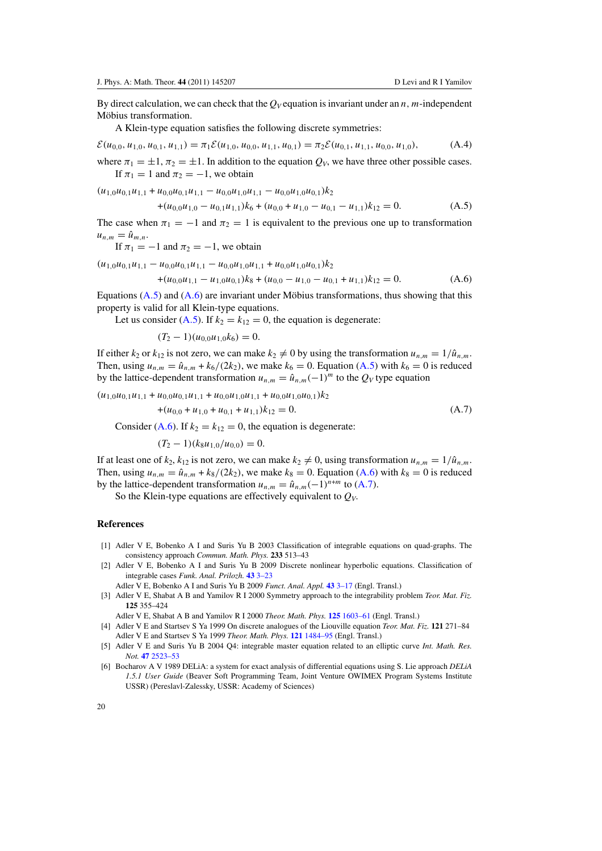<span id="page-20-0"></span>By direct calculation, we can check that the  $Q_V$  equation is invariant under an  $n$ ,  $m$ -independent Möbius transformation.

A Klein-type equation satisfies the following discrete symmetries:

$$
\mathcal{E}(u_{0,0}, u_{1,0}, u_{0,1}, u_{1,1}) = \pi_1 \mathcal{E}(u_{1,0}, u_{0,0}, u_{1,1}, u_{0,1}) = \pi_2 \mathcal{E}(u_{0,1}, u_{1,1}, u_{0,0}, u_{1,0}),
$$
(A.4)

where  $\pi_1 = \pm 1$ ,  $\pi_2 = \pm 1$ . In addition to the equation  $Q_V$ , we have three other possible cases. If  $\pi_1 = 1$  and  $\pi_2 = -1$ , we obtain

 $(u_{1,0}u_{0,1}u_{1,1}+u_{0,0}u_{0,1}u_{1,1}-u_{0,0}u_{1,0}u_{1,1}-u_{0,0}u_{1,0}u_{0,1})k_2$  $+(u_{0,0}u_{1,0} - u_{0,1}u_{1,1})k_6 + (u_{0,0} + u_{1,0} - u_{0,1} - u_{1,1})k_{12} = 0.$  (A.5)

The case when  $\pi_1 = -1$  and  $\pi_2 = 1$  is equivalent to the previous one up to transformation  $u_{n,m} = \hat{u}_{m,n}.$ 

If  $\pi_1 = -1$  and  $\pi_2 = -1$ , we obtain

$$
(u_{1,0}u_{0,1}u_{1,1} - u_{0,0}u_{0,1}u_{1,1} - u_{0,0}u_{1,0}u_{1,1} + u_{0,0}u_{1,0}u_{0,1})k_2
$$
  
+
$$
(u_{0,0}u_{1,1} - u_{1,0}u_{0,1})k_8 + (u_{0,0} - u_{1,0} - u_{0,1} + u_{1,1})k_{12} = 0.
$$
 (A.6)

Equations  $(A.5)$  and  $(A.6)$  are invariant under Möbius transformations, thus showing that this property is valid for all Klein-type equations.

Let us consider (A.5). If  $k_2 = k_{12} = 0$ , the equation is degenerate:

$$
(T_2-1)(u_{0,0}u_{1,0}k_6)=0.
$$

If either  $k_2$  or  $k_{12}$  is not zero, we can make  $k_2 \neq 0$  by using the transformation  $u_{n,m} = 1/\hat{u}_{n,m}$ . Then, using  $u_{n,m} = \hat{u}_{n,m} + k_6/(2k_2)$ , we make  $k_6 = 0$ . Equation (A.5) with  $k_6 = 0$  is reduced by the lattice-dependent transformation  $u_{n,m} = \hat{u}_{n,m}(-1)^m$  to the  $Q_V$  type equation

 $(u_{1,0}u_{0,1}u_{1,1}+u_{0,0}u_{0,1}u_{1,1}+u_{0,0}u_{1,0}u_{1,1}+u_{0,0}u_{1,0}u_{0,1})k_2$ 

$$
+(u_{0,0} + u_{1,0} + u_{0,1} + u_{1,1})k_{12} = 0.
$$
\n(A.7)

Consider (A.6). If  $k_2 = k_{12} = 0$ , the equation is degenerate:

 $(T_2 - 1)(k_8u_{1,0}/u_{0,0}) = 0.$ 

If at least one of  $k_2$ ,  $k_{12}$  is not zero, we can make  $k_2 \neq 0$ , using transformation  $u_{n,m} = 1/\hat{u}_{n,m}$ . Then, using  $u_{n,m} = \hat{u}_{n,m} + k_8/(2k_2)$ , we make  $k_8 = 0$ . Equation (A.6) with  $k_8 = 0$  is reduced by the lattice-dependent transformation  $u_{n,m} = \hat{u}_{n,m}(-1)^{n+m}$  to (A.7).

So the Klein-type equations are effectively equivalent to *QV*.

#### **References**

- [1] Adler V E, Bobenko A I and Suris Yu B 2003 Classification of integrable equations on quad-graphs. The consistency approach *Commun. Math. Phys.* **233** 513–43
- [2] Adler V E, Bobenko A I and Suris Yu B 2009 Discrete nonlinear hyperbolic equations. Classification of integrable cases *Funk. Anal. Prilozh.* **43** [3–23](http://dx.doi.org/10.1007/s10688-009-0002-5)

Adler V E, Bobenko A I and Suris Yu B 2009 *Funct. Anal. Appl.* **43** [3–17](http://dx.doi.org/10.1007/s10688-009-0002-5) (Engl. Transl.)

[3] Adler V E, Shabat A B and Yamilov R I 2000 Symmetry approach to the integrability problem *Teor. Mat. Fiz.* **125** 355–424

Adler V E, Shabat A B and Yamilov R I 2000 *Theor. Math. Phys.* **125** [1603–61](http://dx.doi.org/10.1023/A:1026602012111) (Engl. Transl.)

- [4] Adler V E and Startsev S Ya 1999 On discrete analogues of the Liouville equation *Teor. Mat. Fiz.* **121** 271–84 Adler V E and Startsev S Ya 1999 *Theor. Math. Phys.* **121** [1484–95](http://dx.doi.org/10.1007/BF02557219) (Engl. Transl.)
- [5] Adler V E and Suris Yu B 2004 Q4: integrable master equation related to an elliptic curve *Int. Math. Res. Not.* **47** [2523–53](http://dx.doi.org/10.1155/S107379280413273X)
- [6] Bocharov A V 1989 DELiA: a system for exact analysis of differential equations using S. Lie approach *DELiA 1.5.1 User Guide* (Beaver Soft Programming Team, Joint Venture OWIMEX Program Systems Institute USSR) (Pereslavl-Zalessky, USSR: Academy of Sciences)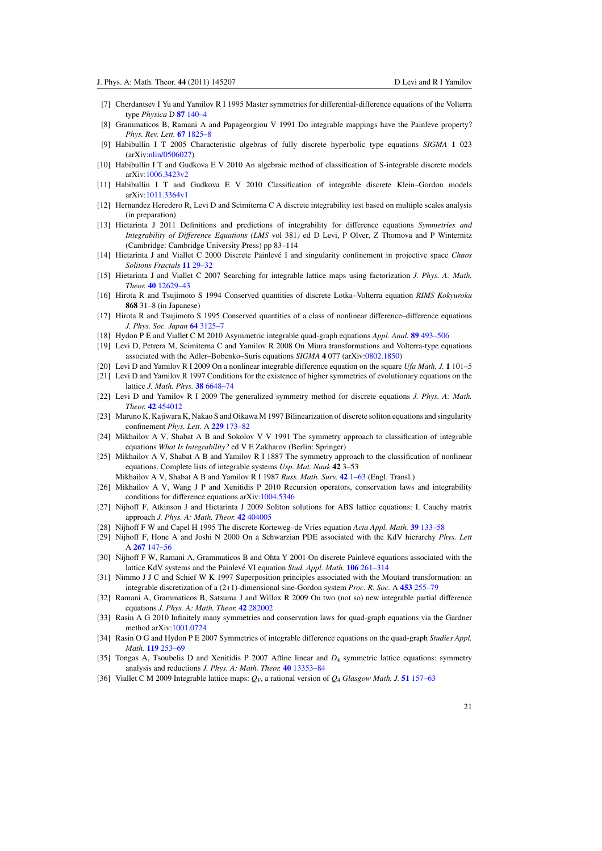- <span id="page-21-0"></span>[7] Cherdantsev I Yu and Yamilov R I 1995 Master symmetries for differential-difference equations of the Volterra type *Physica* D **87** [140–4](http://dx.doi.org/10.1016/0167-2789(95)00167-3)
- [8] Grammaticos B, Ramani A and Papageorgiou V 1991 Do integrable mappings have the Painleve property? *Phys. Rev. Lett.* **67** [1825–8](http://dx.doi.org/10.1103/PhysRevLett.67.1825)
- [9] Habibullin I T 2005 Characteristic algebras of fully discrete hyperbolic type equations *SIGMA* **1** 023 (arXiv[:nlin/0506027\)](http://www.arxiv.org/abs/nlin/0506027)
- [10] Habibullin I T and Gudkova E V 2010 An algebraic method of classification of S-integrable discrete models arXiv[:1006.3423v2](http://www.arxiv.org/abs/1006.3423v2)
- [11] Habibullin I T and Gudkova E V 2010 Classification of integrable discrete Klein–Gordon models arXiv[:1011.3364v1](http://www.arxiv.org/abs/1011.3364v1)
- [12] Hernandez Heredero R, Levi D and Scimiterna C A discrete integrability test based on multiple scales analysis (in preparation)
- [13] Hietarinta J 2011 Definitions and predictions of integrability for difference equations *Symmetries and Integrability of Difference Equations (LMS* vol 381*)* ed D Levi, P Olver, Z Thomova and P Winternitz (Cambridge: Cambridge University Press) pp 83–114
- [14] Hietarinta J and Viallet C 2000 Discrete Painleve I and singularity confinement in projective space ´ *Chaos Solitons Fractals* **11** [29–32](http://dx.doi.org/10.1016/S0960-0779(98)00266-5)
- [15] Hietarinta J and Viallet C 2007 Searching for integrable lattice maps using factorization *J. Phys. A: Math. Theor.* **40** [12629–43](http://dx.doi.org/10.1088/1751-8113/40/42/S09)
- [16] Hirota R and Tsujimoto S 1994 Conserved quantities of discrete Lotka–Volterra equation *RIMS Kokyuroku* **868** 31–8 (in Japanese)
- [17] Hirota R and Tsujimoto S 1995 Conserved quantities of a class of nonlinear difference–difference equations *J. Phys. Soc. Japan* **64** [3125–7](http://dx.doi.org/10.1143/JPSJ.64.3125)
- [18] Hydon P E and Viallet C M 2010 Asymmetric integrable quad-graph equations *Appl. Anal.* **89** [493–506](http://dx.doi.org/10.1080/00036810903329951)
- [19] Levi D, Petrera M, Scimiterna C and Yamilov R 2008 On Miura transformations and Volterra-type equations associated with the Adler–Bobenko–Suris equations *SIGMA* **4** 077 (arXiv[:0802.1850\)](http://www.arxiv.org/abs/0802.1850)
- [20] Levi D and Yamilov R I 2009 On a nonlinear integrable difference equation on the square *Ufa Math. J.* **1** 101–5
- [21] Levi D and Yamilov R 1997 Conditions for the existence of higher symmetries of evolutionary equations on the lattice *J. Math. Phys.* **38** [6648–74](http://dx.doi.org/10.1063/1.532230)
- [22] Levi D and Yamilov R I 2009 The generalized symmetry method for discrete equations *J. Phys. A: Math. Theor.* **42** [454012](http://dx.doi.org/10.1088/1751-8113/42/45/454012)
- [23] Maruno K, Kajiwara K, Nakao S and Oikawa M 1997 Bilinearization of discrete soliton equations and singularity confinement *Phys. Lett.* A **229** [173–82](http://dx.doi.org/10.1016/S0375-9601(97)00171-0)
- [24] Mikhailov A V, Shabat A B and Sokolov V V 1991 The symmetry approach to classification of integrable equations *What Is Integrability?* ed V E Zakharov (Berlin: Springer)
- [25] Mikhailov A V, Shabat A B and Yamilov R I 1887 The symmetry approach to the classification of nonlinear equations. Complete lists of integrable systems *Usp. Mat. Nauk* **42** 3–53
- Mikhailov A V, Shabat A B and Yamilov R I 1987 *Russ. Math. Surv.* **42** [1–63](http://dx.doi.org/10.1070/RM1987v042n04ABEH001441) (Engl. Transl.)
- [26] Mikhailov A V, Wang J P and Xenitidis P 2010 Recursion operators, conservation laws and integrability conditions for difference equations arXiv[:1004.5346](http://www.arxiv.org/abs/1004.5346)
- [27] Nijhoff F, Atkinson J and Hietarinta J 2009 Soliton solutions for ABS lattice equations: I. Cauchy matrix approach *J. Phys. A: Math. Theor.* **42** [404005](http://dx.doi.org/10.1088/1751-8113/42/40/404005)
- [28] Nijhoff F W and Capel H 1995 The discrete Korteweg–de Vries equation *Acta Appl. Math.* **39** [133–58](http://dx.doi.org/10.1007/BF00994631)
- [29] Nijhoff F, Hone A and Joshi N 2000 On a Schwarzian PDE associated with the KdV hierarchy *Phys. Lett* A **267** [147–56](http://dx.doi.org/10.1016/S0375-9601(00)00063-3)
- [30] Nijhoff F W, Ramani A, Grammaticos B and Ohta Y 2001 On discrete Painlevé equations associated with the lattice KdV systems and the Painlevé VI equation *Stud. Appl. Math.* **106** [261–314](http://dx.doi.org/10.1111/1467-9590.00167)
- [31] Nimmo J J C and Schief W K 1997 Superposition principles associated with the Moutard transformation: an integrable discretization of a (2+1)-dimensional sine-Gordon system *Proc. R. Soc.* A **453** [255–79](http://dx.doi.org/10.1098/rspa.1997.0015)
- [32] Ramani A, Grammaticos B, Satsuma J and Willox R 2009 On two (not so) new integrable partial difference equations *J. Phys. A: Math. Theor.* **42** [282002](http://dx.doi.org/10.1088/1751-8113/42/28/282002)
- [33] Rasin A G 2010 Infinitely many symmetries and conservation laws for quad-graph equations via the Gardner method arXiv[:1001.0724](http://www.arxiv.org/abs/1001.0724)
- [34] Rasin O G and Hydon P E 2007 Symmetries of integrable difference equations on the quad-graph *Studies Appl. Math.* **119** [253–69](http://dx.doi.org/10.1111/j.1467-9590.2007.00385.x)
- [35] Tongas A, Tsoubelis D and Xenitidis P 2007 Affine linear and *D*<sup>4</sup> symmetric lattice equations: symmetry analysis and reductions *J. Phys. A: Math. Theor.* **40** [13353–84](http://dx.doi.org/10.1088/1751-8113/40/44/015)
- [36] Viallet C M 2009 Integrable lattice maps: *QV*, a rational version of *Q*<sup>4</sup> *Glasgow Math. J.* **51** [157–63](http://dx.doi.org/10.1017/S0017089508004874)